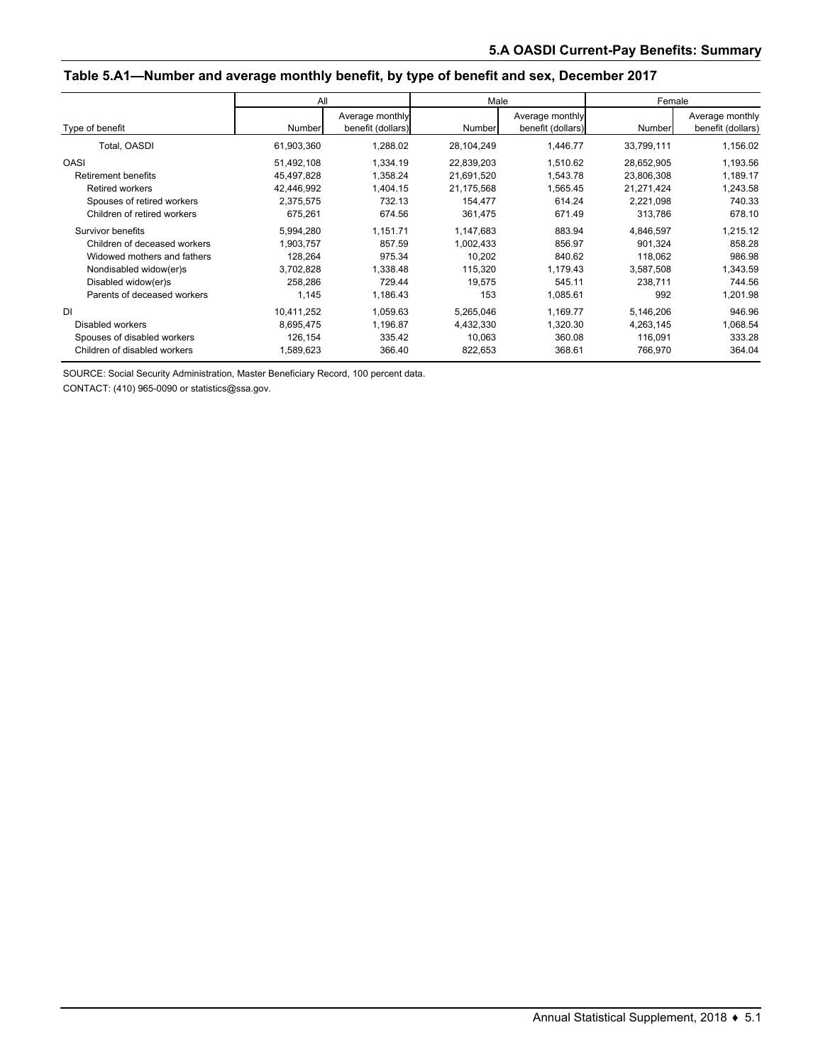#### **Table 5.A1—Number and average monthly benefit, by type of benefit and sex, December 2017**

|                              | All        |                                      | Male       |                                      | Female     |                                      |
|------------------------------|------------|--------------------------------------|------------|--------------------------------------|------------|--------------------------------------|
| Type of benefit              | Number     | Average monthly<br>benefit (dollars) | Number     | Average monthly<br>benefit (dollars) | Number     | Average monthly<br>benefit (dollars) |
| Total, OASDI                 | 61,903,360 | 1,288.02                             | 28,104,249 | 1,446.77                             | 33,799,111 | 1,156.02                             |
| <b>OASI</b>                  | 51,492,108 | 1.334.19                             | 22,839,203 | 1,510.62                             | 28,652,905 | 1,193.56                             |
| <b>Retirement benefits</b>   | 45,497,828 | 1,358.24                             | 21,691,520 | 1,543.78                             | 23,806,308 | 1,189.17                             |
| <b>Retired workers</b>       | 42,446,992 | 1.404.15                             | 21,175,568 | 1,565.45                             | 21,271,424 | 1,243.58                             |
| Spouses of retired workers   | 2,375,575  | 732.13                               | 154,477    | 614.24                               | 2,221,098  | 740.33                               |
| Children of retired workers  | 675,261    | 674.56                               | 361,475    | 671.49                               | 313,786    | 678.10                               |
| Survivor benefits            | 5,994,280  | 1.151.71                             | 1,147,683  | 883.94                               | 4,846,597  | 1,215.12                             |
| Children of deceased workers | 1,903,757  | 857.59                               | 1,002,433  | 856.97                               | 901,324    | 858.28                               |
| Widowed mothers and fathers  | 128,264    | 975.34                               | 10,202     | 840.62                               | 118,062    | 986.98                               |
| Nondisabled widow(er)s       | 3,702,828  | 1,338.48                             | 115,320    | 1,179.43                             | 3,587,508  | 1,343.59                             |
| Disabled widow(er)s          | 258,286    | 729.44                               | 19,575     | 545.11                               | 238,711    | 744.56                               |
| Parents of deceased workers  | 1.145      | 1,186.43                             | 153        | 1,085.61                             | 992        | 1,201.98                             |
| <b>DI</b>                    | 10,411,252 | 1,059.63                             | 5,265,046  | 1,169.77                             | 5,146,206  | 946.96                               |
| Disabled workers             | 8,695,475  | 1,196.87                             | 4,432,330  | 1,320.30                             | 4,263,145  | 1,068.54                             |
| Spouses of disabled workers  | 126,154    | 335.42                               | 10,063     | 360.08                               | 116,091    | 333.28                               |
| Children of disabled workers | 1,589,623  | 366.40                               | 822,653    | 368.61                               | 766,970    | 364.04                               |

SOURCE: Social Security Administration, Master Beneficiary Record, 100 percent data.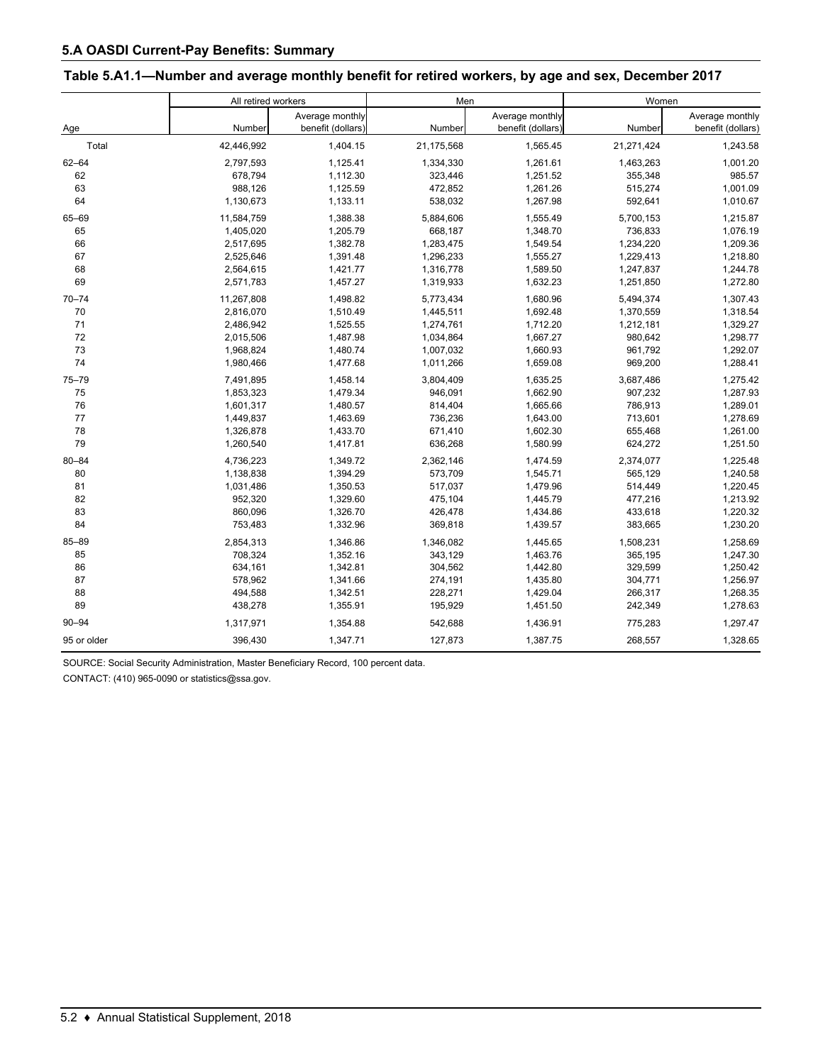| Table 5.A1.1—Number and average monthly benefit for retired workers, by age and sex, December 2017 |  |  |
|----------------------------------------------------------------------------------------------------|--|--|
|                                                                                                    |  |  |

|             | All retired workers |                   | Men        |                   | Women      |                   |  |
|-------------|---------------------|-------------------|------------|-------------------|------------|-------------------|--|
|             |                     | Average monthly   |            | Average monthly   |            | Average monthly   |  |
| Age         | Number              | benefit (dollars) | Number     | benefit (dollars) | Number     | benefit (dollars) |  |
| Total       | 42,446,992          | 1,404.15          | 21,175,568 | 1,565.45          | 21,271,424 | 1,243.58          |  |
| $62 - 64$   | 2,797,593           | 1,125.41          | 1,334,330  | 1,261.61          | 1,463,263  | 1,001.20          |  |
| 62          | 678,794             | 1,112.30          | 323,446    | 1,251.52          | 355,348    | 985.57            |  |
| 63          | 988,126             | 1,125.59          | 472,852    | 1,261.26          | 515,274    | 1,001.09          |  |
| 64          | 1,130,673           | 1,133.11          | 538,032    | 1,267.98          | 592,641    | 1,010.67          |  |
| 65-69       | 11,584,759          | 1,388.38          | 5,884,606  | 1,555.49          | 5,700,153  | 1,215.87          |  |
| 65          | 1,405,020           | 1,205.79          | 668,187    | 1,348.70          | 736,833    | 1,076.19          |  |
| 66          | 2,517,695           | 1,382.78          | 1,283,475  | 1,549.54          | 1,234,220  | 1,209.36          |  |
| 67          | 2,525,646           | 1,391.48          | 1,296,233  | 1,555.27          | 1,229,413  | 1,218.80          |  |
| 68          | 2,564,615           | 1,421.77          | 1,316,778  | 1,589.50          | 1,247,837  | 1,244.78          |  |
| 69          | 2,571,783           | 1,457.27          | 1,319,933  | 1,632.23          | 1,251,850  | 1,272.80          |  |
| $70 - 74$   | 11,267,808          | 1,498.82          | 5,773,434  | 1,680.96          | 5,494,374  | 1,307.43          |  |
| 70          | 2,816,070           | 1,510.49          | 1,445,511  | 1,692.48          | 1,370,559  | 1,318.54          |  |
| 71          | 2,486,942           | 1,525.55          | 1,274,761  | 1,712.20          | 1,212,181  | 1,329.27          |  |
| 72          | 2,015,506           | 1,487.98          | 1,034,864  | 1,667.27          | 980,642    | 1,298.77          |  |
| 73          | 1,968,824           | 1,480.74          | 1,007,032  | 1,660.93          | 961,792    | 1,292.07          |  |
| 74          | 1,980,466           | 1,477.68          | 1,011,266  | 1,659.08          | 969,200    | 1,288.41          |  |
| $75 - 79$   | 7,491,895           | 1,458.14          | 3,804,409  | 1,635.25          | 3,687,486  | 1,275.42          |  |
| 75          | 1,853,323           | 1,479.34          | 946,091    | 1,662.90          | 907,232    | 1,287.93          |  |
| 76          | 1,601,317           | 1,480.57          | 814,404    | 1,665.66          | 786,913    | 1,289.01          |  |
| 77          | 1,449,837           | 1,463.69          | 736,236    | 1,643.00          | 713,601    | 1,278.69          |  |
| 78          | 1,326,878           | 1,433.70          | 671,410    | 1,602.30          | 655,468    | 1,261.00          |  |
| 79          | 1,260,540           | 1,417.81          | 636,268    | 1,580.99          | 624,272    | 1,251.50          |  |
| $80 - 84$   | 4,736,223           | 1,349.72          | 2,362,146  | 1,474.59          | 2,374,077  | 1,225.48          |  |
| 80          | 1,138,838           | 1,394.29          | 573,709    | 1,545.71          | 565,129    | 1,240.58          |  |
| 81          | 1,031,486           | 1,350.53          | 517,037    | 1,479.96          | 514,449    | 1,220.45          |  |
| 82          | 952,320             | 1,329.60          | 475,104    | 1,445.79          | 477,216    | 1,213.92          |  |
| 83          | 860,096             | 1,326.70          | 426,478    | 1,434.86          | 433,618    | 1,220.32          |  |
| 84          | 753,483             | 1,332.96          | 369,818    | 1,439.57          | 383,665    | 1,230.20          |  |
| 85-89       | 2,854,313           | 1,346.86          | 1,346,082  | 1,445.65          | 1,508,231  | 1,258.69          |  |
| 85          | 708,324             | 1,352.16          | 343,129    | 1,463.76          | 365,195    | 1,247.30          |  |
| 86          | 634,161             | 1,342.81          | 304,562    | 1,442.80          | 329,599    | 1,250.42          |  |
| 87          | 578,962             | 1,341.66          | 274,191    | 1,435.80          | 304,771    | 1,256.97          |  |
| 88          | 494,588             | 1,342.51          | 228,271    | 1,429.04          | 266,317    | 1,268.35          |  |
| 89          | 438,278             | 1,355.91          | 195,929    | 1,451.50          | 242,349    | 1,278.63          |  |
| $90 - 94$   | 1,317,971           | 1,354.88          | 542,688    | 1,436.91          | 775,283    | 1,297.47          |  |
| 95 or older | 396,430             | 1,347.71          | 127,873    | 1,387.75          | 268,557    | 1,328.65          |  |

SOURCE: Social Security Administration, Master Beneficiary Record, 100 percent data.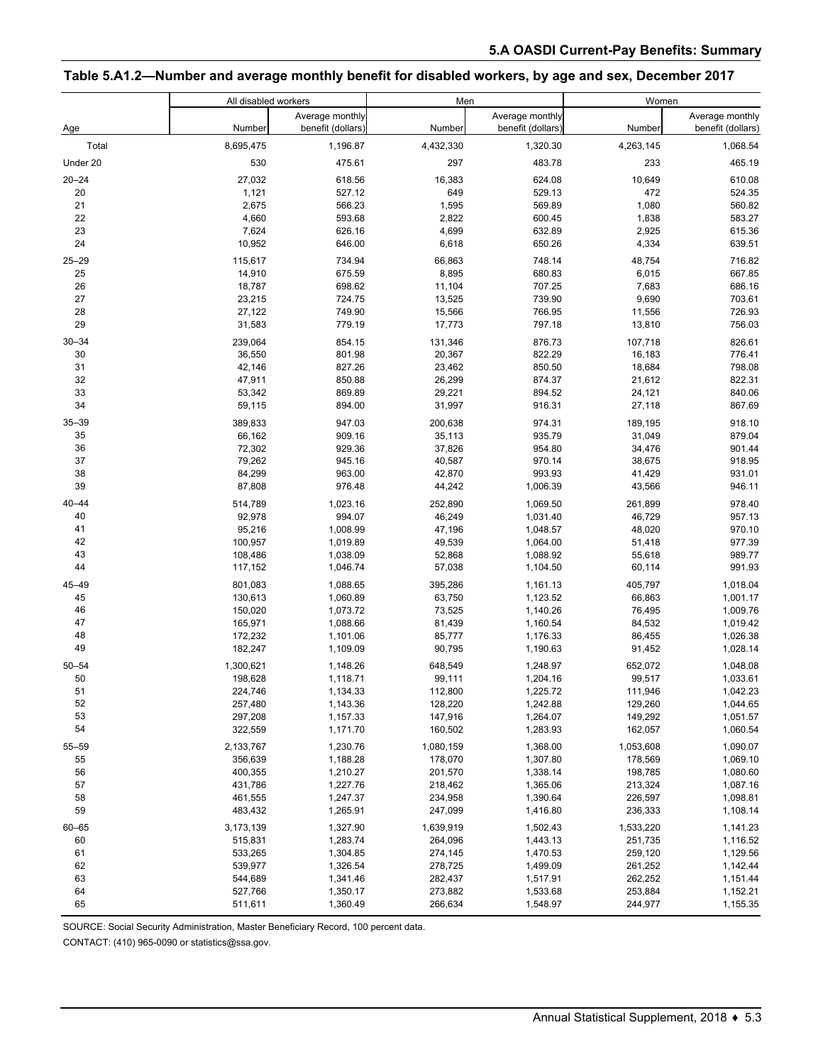#### **Table 5.A1.2—Number and average monthly benefit for disabled workers, by age and sex, December 2017**

|                 | All disabled workers |                                      | Men                |                                      | Women              |                                      |  |
|-----------------|----------------------|--------------------------------------|--------------------|--------------------------------------|--------------------|--------------------------------------|--|
| Age             | Number               | Average monthly<br>benefit (dollars) | Number             | Average monthly<br>benefit (dollars) | Number             | Average monthly<br>benefit (dollars) |  |
| Total           | 8,695,475            | 1,196.87                             | 4,432,330          | 1,320.30                             | 4,263,145          | 1,068.54                             |  |
| Under 20        | 530                  | 475.61                               | 297                | 483.78                               | 233                | 465.19                               |  |
| $20 - 24$       | 27,032               | 618.56                               | 16,383             | 624.08                               | 10,649             | 610.08                               |  |
| 20              | 1,121                | 527.12                               | 649                | 529.13                               | 472                | 524.35                               |  |
| 21              | 2,675                | 566.23                               | 1,595              | 569.89                               | 1,080              | 560.82                               |  |
| 22              | 4,660                | 593.68                               | 2,822              | 600.45                               | 1,838              | 583.27                               |  |
| 23              | 7,624                | 626.16                               | 4,699              | 632.89                               | 2,925              | 615.36                               |  |
| 24              | 10,952               | 646.00                               | 6,618              | 650.26                               | 4,334              | 639.51                               |  |
| $25 - 29$       | 115,617              | 734.94                               | 66,863             | 748.14                               | 48,754             | 716.82                               |  |
| 25              | 14,910               | 675.59                               | 8,895              | 680.83                               | 6,015              | 667.85                               |  |
| 26              | 18,787               | 698.62                               | 11,104             | 707.25                               | 7,683              | 686.16                               |  |
| 27              | 23,215               | 724.75                               | 13,525             | 739.90                               | 9,690              | 703.61                               |  |
| 28              | 27,122               | 749.90                               | 15,566             | 766.95                               | 11,556             | 726.93                               |  |
| 29              | 31,583               | 779.19                               | 17,773             | 797.18                               | 13,810             | 756.03                               |  |
| $30 - 34$       | 239,064              | 854.15                               | 131,346            | 876.73                               | 107,718            | 826.61                               |  |
| 30              | 36,550               | 801.98                               | 20,367             | 822.29                               | 16,183             | 776.41                               |  |
| 31              | 42,146               | 827.26                               | 23,462             | 850.50                               | 18,684             | 798.08                               |  |
| 32<br>33        | 47,911<br>53,342     | 850.88<br>869.89                     | 26,299<br>29,221   | 874.37<br>894.52                     | 21,612<br>24,121   | 822.31<br>840.06                     |  |
| 34              | 59,115               | 894.00                               | 31,997             | 916.31                               | 27,118             | 867.69                               |  |
|                 |                      |                                      |                    |                                      |                    |                                      |  |
| $35 - 39$<br>35 | 389,833<br>66,162    | 947.03<br>909.16                     | 200,638<br>35,113  | 974.31<br>935.79                     | 189,195<br>31,049  | 918.10<br>879.04                     |  |
| 36              | 72,302               | 929.36                               | 37,826             | 954.80                               | 34,476             | 901.44                               |  |
| 37              | 79,262               | 945.16                               | 40,587             | 970.14                               | 38,675             | 918.95                               |  |
| 38              | 84,299               | 963.00                               | 42,870             | 993.93                               | 41,429             | 931.01                               |  |
| 39              | 87,808               | 976.48                               | 44,242             | 1,006.39                             | 43,566             | 946.11                               |  |
| $40 - 44$       | 514,789              | 1,023.16                             | 252,890            | 1,069.50                             | 261,899            | 978.40                               |  |
| 40              | 92,978               | 994.07                               | 46,249             | 1,031.40                             | 46,729             | 957.13                               |  |
| 41              | 95,216               | 1,008.99                             | 47,196             | 1,048.57                             | 48,020             | 970.10                               |  |
| 42              | 100,957              | 1,019.89                             | 49,539             | 1,064.00                             | 51,418             | 977.39                               |  |
| 43              | 108,486              | 1,038.09                             | 52,868             | 1,088.92                             | 55,618             | 989.77                               |  |
| 44              | 117,152              | 1,046.74                             | 57,038             | 1,104.50                             | 60,114             | 991.93                               |  |
| 45-49           | 801,083              | 1,088.65                             | 395,286            | 1,161.13                             | 405,797            | 1,018.04                             |  |
| 45              | 130,613              | 1,060.89                             | 63,750             | 1,123.52                             | 66,863             | 1,001.17                             |  |
| 46              | 150,020              | 1,073.72                             | 73,525             | 1,140.26                             | 76,495             | 1,009.76                             |  |
| 47              | 165,971              | 1,088.66                             | 81,439             | 1,160.54                             | 84,532             | 1,019.42                             |  |
| 48<br>49        | 172,232<br>182,247   | 1,101.06<br>1,109.09                 | 85,777<br>90,795   | 1,176.33<br>1,190.63                 | 86,455<br>91,452   | 1,026.38<br>1,028.14                 |  |
|                 |                      |                                      |                    |                                      |                    |                                      |  |
| $50 - 54$       | 1,300,621            | 1,148.26                             | 648,549            | 1,248.97                             | 652,072            | 1,048.08                             |  |
| 50<br>51        | 198,628<br>224,746   | 1,118.71<br>1,134.33                 | 99,111<br>112,800  | 1,204.16<br>1,225.72                 | 99,517<br>111,946  | 1,033.61<br>1,042.23                 |  |
| 52              | 257,480              | 1,143.36                             | 128,220            | 1,242.88                             | 129,260            | 1,044.65                             |  |
| 53              | 297,208              | 1,157.33                             | 147,916            | 1,264.07                             | 149,292            | 1,051.57                             |  |
| 54              | 322,559              | 1,171.70                             | 160,502            | 1,283.93                             | 162,057            | 1,060.54                             |  |
| $55 - 59$       | 2,133,767            | 1,230.76                             | 1,080,159          | 1,368.00                             | 1,053,608          | 1,090.07                             |  |
| 55              | 356,639              | 1,188.28                             | 178,070            | 1,307.80                             | 178,569            | 1,069.10                             |  |
| 56              | 400,355              | 1,210.27                             | 201,570            | 1,338.14                             | 198,785            | 1,080.60                             |  |
| 57              | 431,786              | 1,227.76                             | 218,462            | 1,365.06                             | 213,324            | 1,087.16                             |  |
| 58              | 461,555              | 1,247.37                             | 234,958            | 1,390.64                             | 226,597            | 1,098.81                             |  |
| 59              | 483,432              | 1,265.91                             | 247,099            | 1,416.80                             | 236,333            | 1,108.14                             |  |
| $60 - 65$       | 3,173,139            | 1,327.90                             | 1,639,919          | 1,502.43                             | 1,533,220          | 1,141.23                             |  |
| 60              | 515,831              | 1,283.74                             | 264,096            | 1,443.13                             | 251,735            | 1,116.52                             |  |
| 61              | 533,265              | 1,304.85                             | 274,145            | 1,470.53                             | 259,120            | 1,129.56                             |  |
| 62              | 539,977              | 1,326.54                             | 278,725            | 1,499.09                             | 261,252            | 1,142.44                             |  |
| 63<br>64        | 544,689<br>527,766   | 1,341.46<br>1,350.17                 | 282,437<br>273,882 | 1,517.91                             | 262,252<br>253,884 | 1,151.44<br>1,152.21                 |  |
| 65              | 511,611              | 1,360.49                             | 266,634            | 1,533.68<br>1,548.97                 | 244,977            | 1,155.35                             |  |
|                 |                      |                                      |                    |                                      |                    |                                      |  |

SOURCE: Social Security Administration, Master Beneficiary Record, 100 percent data.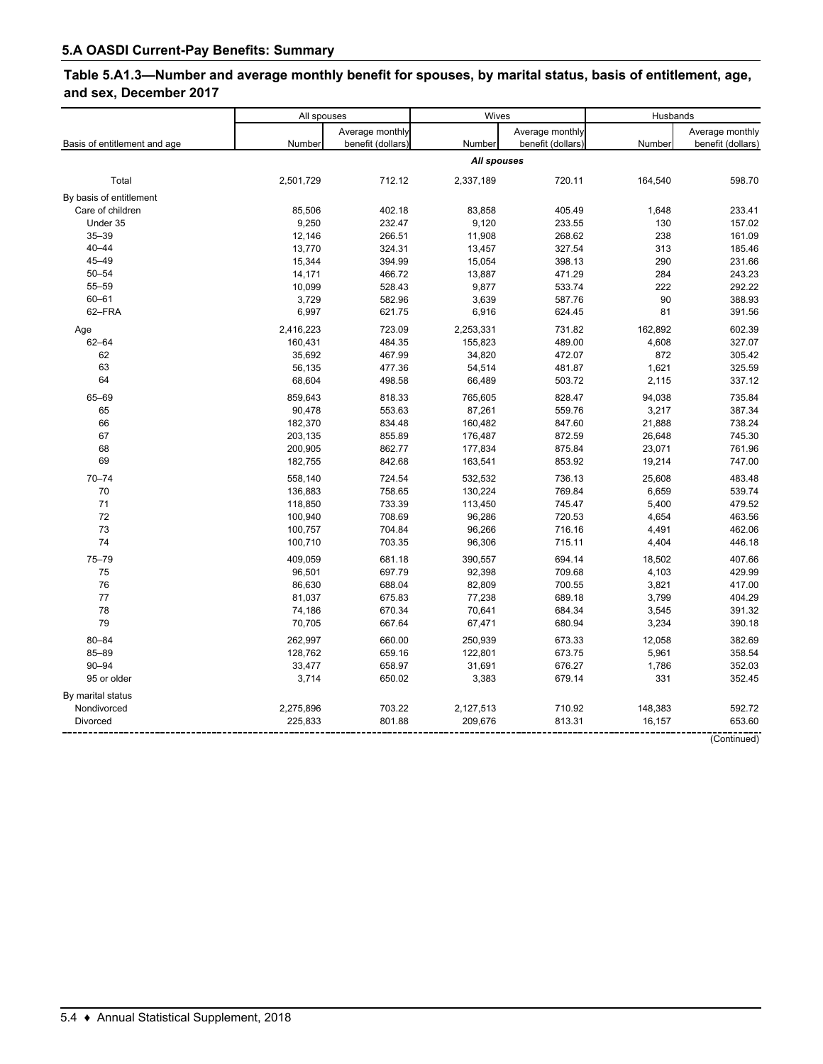# **Table 5.A1.3—Number and average monthly benefit for spouses, by marital status, basis of entitlement, age, and sex, December 2017**

|                              | All spouses        |                   | Wives              |                   | Husbands         |                   |
|------------------------------|--------------------|-------------------|--------------------|-------------------|------------------|-------------------|
|                              |                    | Average monthly   |                    | Average monthly   |                  | Average monthly   |
| Basis of entitlement and age | Number             | benefit (dollars) | Number             | benefit (dollars) | Number           | benefit (dollars) |
|                              |                    |                   | All spouses        |                   |                  |                   |
| Total                        | 2,501,729          | 712.12            | 2,337,189          | 720.11            | 164,540          | 598.70            |
| By basis of entitlement      |                    |                   |                    |                   |                  |                   |
| Care of children             | 85,506             | 402.18            | 83,858             | 405.49            | 1,648            | 233.41            |
| Under 35                     | 9,250              | 232.47            | 9,120              | 233.55            | 130              | 157.02            |
| $35 - 39$                    | 12,146             | 266.51            | 11,908             | 268.62            | 238              | 161.09            |
| $40 - 44$                    | 13,770             | 324.31            | 13,457             | 327.54            | 313              | 185.46            |
| $45 - 49$                    | 15,344             | 394.99            | 15,054             | 398.13            | 290              | 231.66            |
| $50 - 54$                    | 14,171             | 466.72            | 13,887             | 471.29            | 284              | 243.23            |
| 55-59                        | 10,099             | 528.43            | 9,877              | 533.74            | 222              | 292.22            |
| $60 - 61$                    | 3,729              | 582.96            | 3,639              | 587.76            | 90               | 388.93            |
| 62-FRA                       | 6,997              | 621.75            | 6,916              | 624.45            | 81               | 391.56            |
| Age                          | 2,416,223          | 723.09            | 2,253,331          | 731.82            | 162,892          | 602.39            |
| $62 - 64$                    | 160,431            | 484.35            | 155,823            | 489.00            | 4,608            | 327.07            |
| 62                           | 35,692             | 467.99            | 34,820             | 472.07            | 872              | 305.42            |
| 63                           | 56,135             | 477.36            | 54,514             | 481.87            | 1,621            | 325.59            |
| 64                           | 68,604             | 498.58            | 66,489             | 503.72            | 2,115            | 337.12            |
|                              |                    |                   |                    |                   |                  |                   |
| 65-69                        | 859,643            | 818.33            | 765,605            | 828.47            | 94,038           | 735.84            |
| 65<br>66                     | 90,478             | 553.63            | 87,261             | 559.76            | 3,217            | 387.34            |
|                              | 182,370            | 834.48            | 160,482            | 847.60            | 21,888           | 738.24            |
| 67<br>68                     | 203,135<br>200,905 | 855.89<br>862.77  | 176,487<br>177,834 | 872.59<br>875.84  | 26,648<br>23,071 | 745.30<br>761.96  |
| 69                           | 182,755            | 842.68            | 163,541            | 853.92            | 19,214           | 747.00            |
|                              |                    |                   |                    |                   |                  |                   |
| $70 - 74$                    | 558,140            | 724.54            | 532,532            | 736.13            | 25,608           | 483.48            |
| 70                           | 136,883            | 758.65            | 130,224            | 769.84            | 6,659            | 539.74            |
| 71                           | 118,850            | 733.39            | 113,450            | 745.47            | 5,400            | 479.52            |
| 72                           | 100,940            | 708.69            | 96,286             | 720.53            | 4,654            | 463.56            |
| 73                           | 100,757            | 704.84            | 96,266             | 716.16            | 4,491            | 462.06            |
| 74                           | 100,710            | 703.35            | 96,306             | 715.11            | 4,404            | 446.18            |
| $75 - 79$                    | 409,059            | 681.18            | 390,557            | 694.14            | 18,502           | 407.66            |
| 75                           | 96,501             | 697.79            | 92,398             | 709.68            | 4,103            | 429.99            |
| 76                           | 86,630             | 688.04            | 82,809             | 700.55            | 3,821            | 417.00            |
| 77                           | 81,037             | 675.83            | 77,238             | 689.18            | 3,799            | 404.29            |
| 78                           | 74,186             | 670.34            | 70,641             | 684.34            | 3,545            | 391.32            |
| 79                           | 70,705             | 667.64            | 67,471             | 680.94            | 3,234            | 390.18            |
| $80 - 84$                    | 262,997            | 660.00            | 250,939            | 673.33            | 12,058           | 382.69            |
| 85-89                        | 128,762            | 659.16            | 122,801            | 673.75            | 5,961            | 358.54            |
| $90 - 94$                    | 33,477             | 658.97            | 31,691             | 676.27            | 1,786            | 352.03            |
| 95 or older                  | 3,714              | 650.02            | 3,383              | 679.14            | 331              | 352.45            |
| By marital status            |                    |                   |                    |                   |                  |                   |
| Nondivorced                  | 2,275,896          | 703.22            | 2,127,513          | 710.92            | 148,383          | 592.72            |
| <b>Divorced</b>              | 225,833            | 801.88            | 209,676            | 813.31            | 16,157           | 653.60            |
|                              |                    |                   |                    |                   |                  |                   |

(Continued)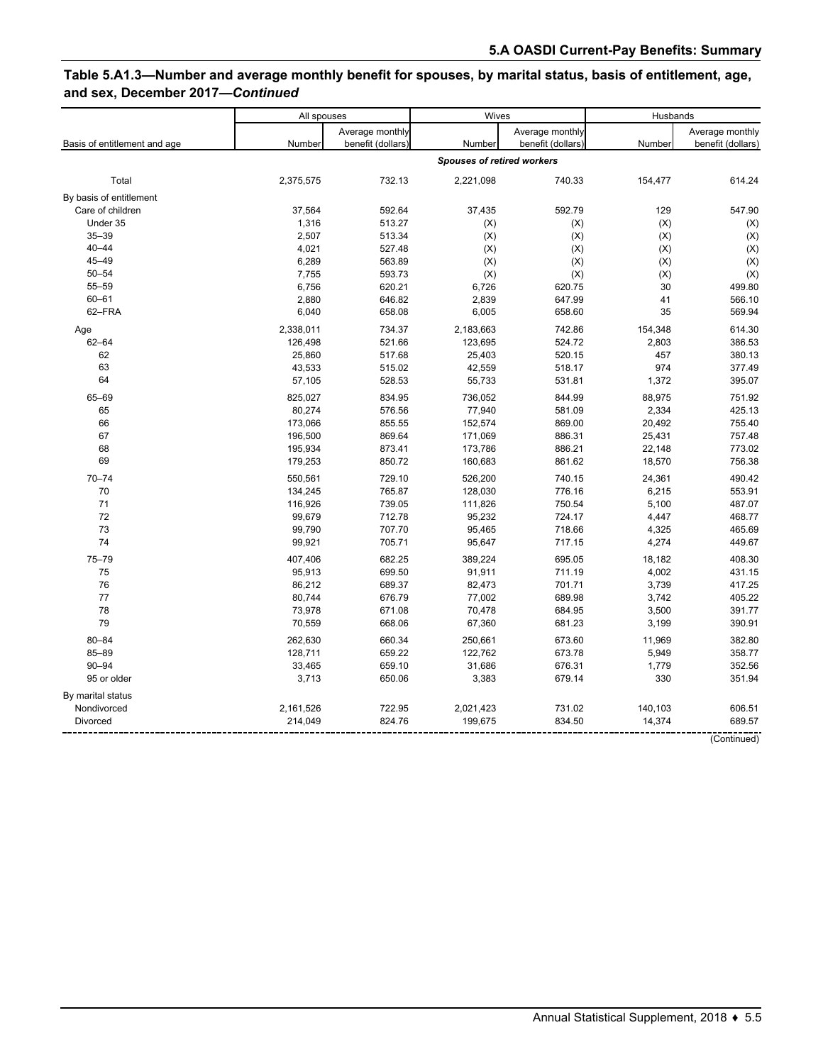## **Table 5.A1.3—Number and average monthly benefit for spouses, by marital status, basis of entitlement, age, and sex, December 2017—***Continued*

|                              | Wives<br>All spouses |                                      | Husbands                          |                                      |                |                                      |
|------------------------------|----------------------|--------------------------------------|-----------------------------------|--------------------------------------|----------------|--------------------------------------|
| Basis of entitlement and age | Number               | Average monthly<br>benefit (dollars) | Number                            | Average monthly<br>benefit (dollars) | Number         | Average monthly<br>benefit (dollars) |
|                              |                      |                                      | <b>Spouses of retired workers</b> |                                      |                |                                      |
| Total                        | 2,375,575            | 732.13                               | 2,221,098                         | 740.33                               | 154,477        | 614.24                               |
| By basis of entitlement      |                      |                                      |                                   |                                      |                |                                      |
| Care of children             | 37,564               | 592.64                               | 37,435                            | 592.79                               | 129            | 547.90                               |
| Under 35                     | 1,316                | 513.27                               | (X)                               | (X)                                  | (X)            | (X)                                  |
| $35 - 39$                    | 2,507                | 513.34                               | (X)                               | (X)                                  | (X)            | (X)                                  |
| $40 - 44$                    | 4,021                | 527.48                               | (X)                               | (X)                                  | (X)            | (X)                                  |
| 45-49                        | 6,289                | 563.89                               | (X)                               | (X)                                  | (X)            | (X)                                  |
| $50 - 54$                    | 7,755                | 593.73                               | (X)                               | (X)                                  | (X)            | (X)                                  |
| 55-59                        | 6,756                | 620.21                               | 6,726                             | 620.75                               | 30             | 499.80                               |
| $60 - 61$                    | 2,880                | 646.82                               | 2,839                             | 647.99                               | 41             | 566.10                               |
| 62-FRA                       | 6,040                | 658.08                               | 6,005                             | 658.60                               | 35             | 569.94                               |
| Age                          | 2,338,011            | 734.37                               | 2,183,663                         | 742.86                               | 154,348        | 614.30                               |
| $62 - 64$                    | 126,498              | 521.66                               | 123,695                           | 524.72                               | 2,803          | 386.53                               |
| 62                           | 25,860               | 517.68                               | 25,403                            | 520.15                               | 457            | 380.13                               |
| 63                           | 43,533               | 515.02                               | 42,559                            | 518.17                               | 974            | 377.49                               |
| 64                           | 57,105               | 528.53                               | 55,733                            | 531.81                               | 1,372          | 395.07                               |
| 65-69                        | 825,027              | 834.95                               | 736,052                           | 844.99                               | 88,975         | 751.92                               |
| 65                           | 80,274               | 576.56                               | 77,940                            | 581.09                               | 2,334          | 425.13                               |
| 66                           | 173,066              | 855.55                               | 152,574                           | 869.00                               | 20,492         | 755.40                               |
| 67                           | 196,500              | 869.64                               | 171,069                           | 886.31                               | 25,431         | 757.48                               |
| 68                           | 195,934              | 873.41                               | 173,786                           | 886.21                               | 22,148         | 773.02                               |
| 69                           | 179,253              | 850.72                               | 160,683                           | 861.62                               | 18,570         | 756.38                               |
|                              |                      |                                      |                                   |                                      |                |                                      |
| $70 - 74$                    | 550,561              | 729.10                               | 526,200                           | 740.15                               | 24,361         | 490.42                               |
| 70<br>71                     | 134,245              | 765.87                               | 128,030                           | 776.16                               | 6,215<br>5,100 | 553.91                               |
| 72                           | 116,926              | 739.05                               | 111,826                           | 750.54                               |                | 487.07                               |
| 73                           | 99,679<br>99,790     | 712.78<br>707.70                     | 95,232<br>95,465                  | 724.17<br>718.66                     | 4,447<br>4,325 | 468.77<br>465.69                     |
| 74                           | 99,921               | 705.71                               | 95,647                            | 717.15                               | 4,274          | 449.67                               |
|                              |                      |                                      |                                   |                                      |                |                                      |
| $75 - 79$                    | 407,406              | 682.25                               | 389,224                           | 695.05                               | 18,182         | 408.30                               |
| 75                           | 95,913               | 699.50                               | 91,911                            | 711.19                               | 4,002          | 431.15                               |
| 76                           | 86,212               | 689.37                               | 82,473                            | 701.71                               | 3,739          | 417.25                               |
| 77                           | 80,744               | 676.79                               | 77,002                            | 689.98                               | 3,742          | 405.22                               |
| 78                           | 73,978               | 671.08                               | 70,478                            | 684.95                               | 3,500          | 391.77                               |
| 79                           | 70,559               | 668.06                               | 67,360                            | 681.23                               | 3,199          | 390.91                               |
| $80 - 84$                    | 262,630              | 660.34                               | 250,661                           | 673.60                               | 11,969         | 382.80                               |
| $85 - 89$                    | 128,711              | 659.22                               | 122,762                           | 673.78                               | 5,949          | 358.77                               |
| $90 - 94$                    | 33,465               | 659.10                               | 31,686                            | 676.31                               | 1,779          | 352.56                               |
| 95 or older                  | 3,713                | 650.06                               | 3,383                             | 679.14                               | 330            | 351.94                               |
| By marital status            |                      |                                      |                                   |                                      |                |                                      |
| Nondivorced                  | 2,161,526            | 722.95                               | 2,021,423                         | 731.02                               | 140,103        | 606.51                               |
| <b>Divorced</b>              | 214,049              | 824.76                               | 199,675                           | 834.50                               | 14,374         | 689.57                               |
|                              |                      |                                      |                                   |                                      |                |                                      |

(Continued)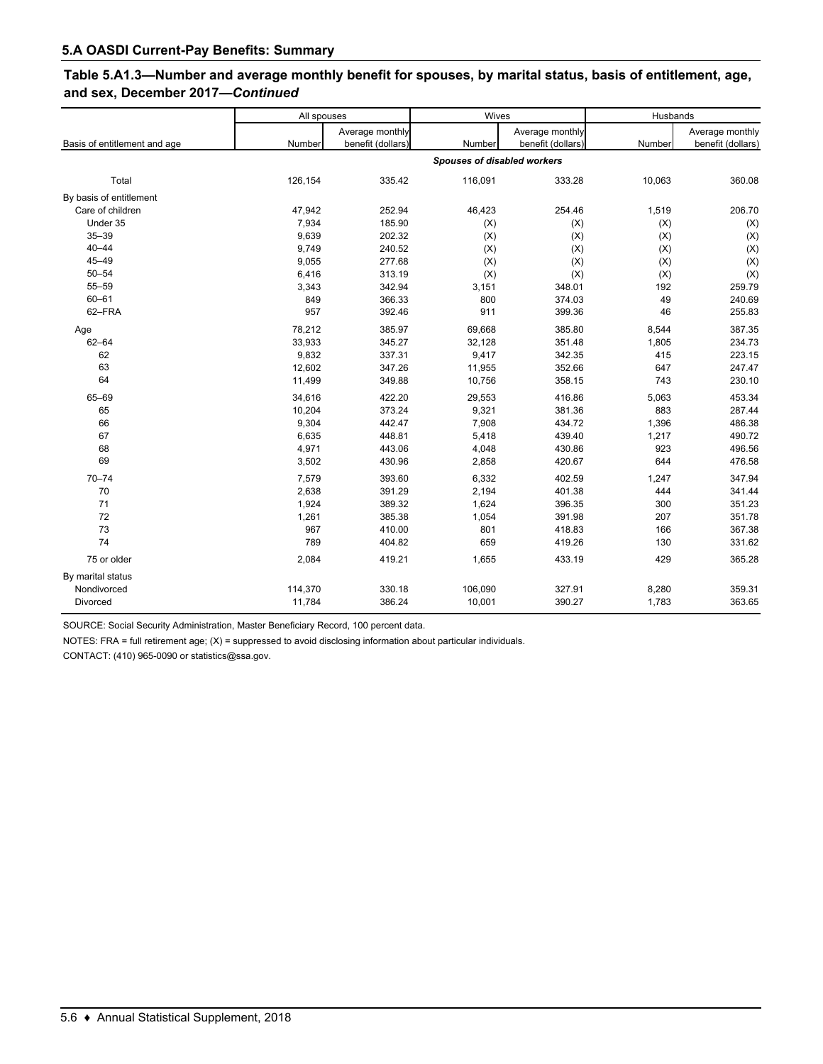| Table 5.A1.3—Number and average monthly benefit for spouses, by marital status, basis of entitlement, age, |  |
|------------------------------------------------------------------------------------------------------------|--|
| and sex, December 2017-Continued                                                                           |  |

|                              | All spouses |                   | Wives                       |                   | Husbands |                   |
|------------------------------|-------------|-------------------|-----------------------------|-------------------|----------|-------------------|
|                              |             | Average monthly   |                             | Average monthly   |          | Average monthly   |
| Basis of entitlement and age | Number      | benefit (dollars) | Number                      | benefit (dollars) | Number   | benefit (dollars) |
|                              |             |                   | Spouses of disabled workers |                   |          |                   |
| Total                        | 126,154     | 335.42            | 116,091                     | 333.28            | 10,063   | 360.08            |
| By basis of entitlement      |             |                   |                             |                   |          |                   |
| Care of children             | 47,942      | 252.94            | 46,423                      | 254.46            | 1,519    | 206.70            |
| Under 35                     | 7,934       | 185.90            | (X)                         | (X)               | (X)      | (X)               |
| $35 - 39$                    | 9,639       | 202.32            | (X)                         | (X)               | (X)      | (X)               |
| $40 - 44$                    | 9,749       | 240.52            | (X)                         | (X)               | (X)      | (X)               |
| $45 - 49$                    | 9,055       | 277.68            | (X)                         | (X)               | (X)      | (X)               |
| $50 - 54$                    | 6,416       | 313.19            | (X)                         | (X)               | (X)      | (X)               |
| 55-59                        | 3,343       | 342.94            | 3,151                       | 348.01            | 192      | 259.79            |
| $60 - 61$                    | 849         | 366.33            | 800                         | 374.03            | 49       | 240.69            |
| 62-FRA                       | 957         | 392.46            | 911                         | 399.36            | 46       | 255.83            |
| Age                          | 78,212      | 385.97            | 69,668                      | 385.80            | 8,544    | 387.35            |
| $62 - 64$                    | 33,933      | 345.27            | 32,128                      | 351.48            | 1,805    | 234.73            |
| 62                           | 9,832       | 337.31            | 9,417                       | 342.35            | 415      | 223.15            |
| 63                           | 12,602      | 347.26            | 11,955                      | 352.66            | 647      | 247.47            |
| 64                           | 11,499      | 349.88            | 10,756                      | 358.15            | 743      | 230.10            |
| 65-69                        | 34,616      | 422.20            | 29,553                      | 416.86            | 5,063    | 453.34            |
| 65                           | 10,204      | 373.24            | 9,321                       | 381.36            | 883      | 287.44            |
| 66                           | 9,304       | 442.47            | 7,908                       | 434.72            | 1,396    | 486.38            |
| 67                           | 6,635       | 448.81            | 5,418                       | 439.40            | 1,217    | 490.72            |
| 68                           | 4,971       | 443.06            | 4,048                       | 430.86            | 923      | 496.56            |
| 69                           | 3,502       | 430.96            | 2,858                       | 420.67            | 644      | 476.58            |
| $70 - 74$                    | 7,579       | 393.60            | 6,332                       | 402.59            | 1,247    | 347.94            |
| 70                           | 2,638       | 391.29            | 2,194                       | 401.38            | 444      | 341.44            |
| 71                           | 1,924       | 389.32            | 1,624                       | 396.35            | 300      | 351.23            |
| 72                           | 1,261       | 385.38            | 1,054                       | 391.98            | 207      | 351.78            |
| 73                           | 967         | 410.00            | 801                         | 418.83            | 166      | 367.38            |
| 74                           | 789         | 404.82            | 659                         | 419.26            | 130      | 331.62            |
| 75 or older                  | 2,084       | 419.21            | 1,655                       | 433.19            | 429      | 365.28            |
| By marital status            |             |                   |                             |                   |          |                   |
| Nondivorced                  | 114,370     | 330.18            | 106,090                     | 327.91            | 8,280    | 359.31            |
| Divorced                     | 11,784      | 386.24            | 10,001                      | 390.27            | 1,783    | 363.65            |

SOURCE: Social Security Administration, Master Beneficiary Record, 100 percent data.

NOTES: FRA = full retirement age; (X) = suppressed to avoid disclosing information about particular individuals.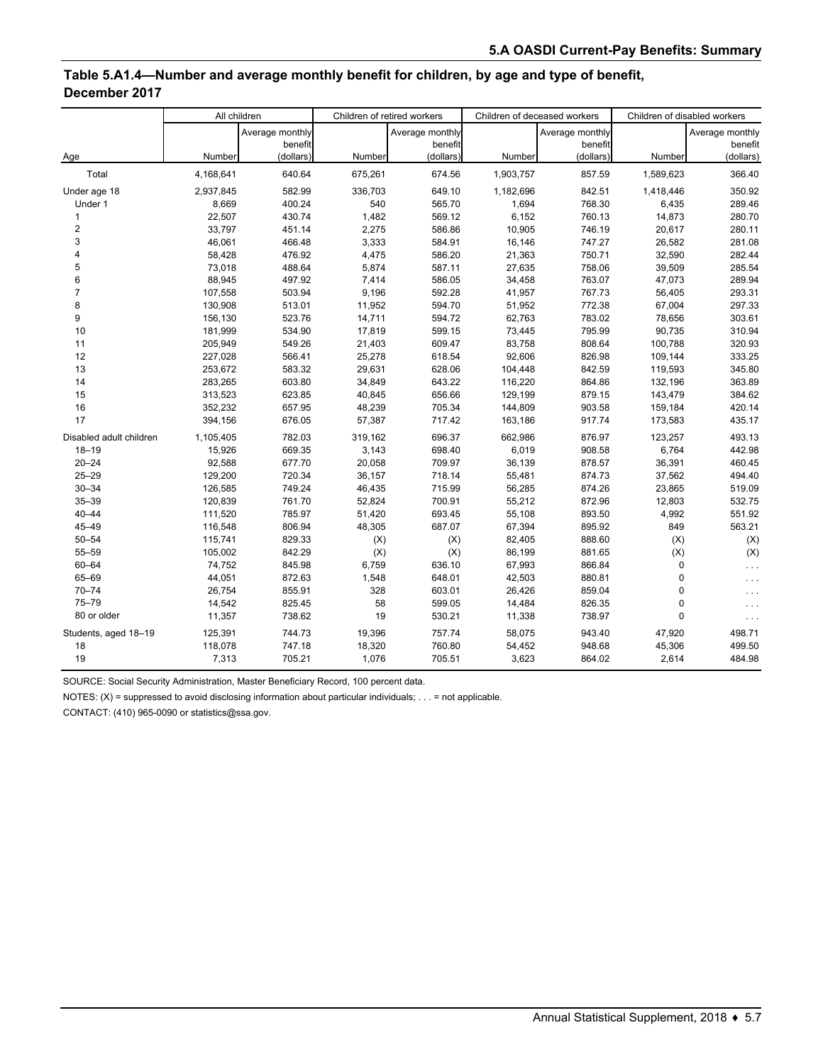#### **Table 5.A1.4—Number and average monthly benefit for children, by age and type of benefit, December 2017**

|                         |           | All children    |         | Children of retired workers | Children of deceased workers |                 | Children of disabled workers |                 |
|-------------------------|-----------|-----------------|---------|-----------------------------|------------------------------|-----------------|------------------------------|-----------------|
|                         |           | Average monthly |         | Average monthly             |                              | Average monthly |                              | Average monthly |
|                         |           | benefit         |         | benefit                     |                              | benefit         |                              | benefit         |
| Age                     | Number    | (dollars)       | Number  | (dollars)                   | Number                       | (dollars)       | Number                       | (dollars)       |
| Total                   | 4,168,641 | 640.64          | 675,261 | 674.56                      | 1,903,757                    | 857.59          | 1,589,623                    | 366.40          |
| Under age 18            | 2,937,845 | 582.99          | 336,703 | 649.10                      | 1,182,696                    | 842.51          | 1,418,446                    | 350.92          |
| Under 1                 | 8,669     | 400.24          | 540     | 565.70                      | 1,694                        | 768.30          | 6,435                        | 289.46          |
| $\mathbf{1}$            | 22,507    | 430.74          | 1,482   | 569.12                      | 6,152                        | 760.13          | 14,873                       | 280.70          |
| $\overline{2}$          | 33,797    | 451.14          | 2,275   | 586.86                      | 10,905                       | 746.19          | 20,617                       | 280.11          |
| 3                       | 46,061    | 466.48          | 3,333   | 584.91                      | 16,146                       | 747.27          | 26,582                       | 281.08          |
| $\overline{4}$          | 58,428    | 476.92          | 4,475   | 586.20                      | 21,363                       | 750.71          | 32,590                       | 282.44          |
| 5                       | 73,018    | 488.64          | 5,874   | 587.11                      | 27,635                       | 758.06          | 39,509                       | 285.54          |
| 6                       | 88,945    | 497.92          | 7,414   | 586.05                      | 34,458                       | 763.07          | 47,073                       | 289.94          |
| $\overline{7}$          | 107,558   | 503.94          | 9,196   | 592.28                      | 41,957                       | 767.73          | 56,405                       | 293.31          |
| 8                       | 130,908   | 513.01          | 11,952  | 594.70                      | 51,952                       | 772.38          | 67,004                       | 297.33          |
| 9                       | 156,130   | 523.76          | 14,711  | 594.72                      | 62,763                       | 783.02          | 78,656                       | 303.61          |
| 10                      | 181,999   | 534.90          | 17,819  | 599.15                      | 73,445                       | 795.99          | 90,735                       | 310.94          |
| 11                      | 205,949   | 549.26          | 21,403  | 609.47                      | 83,758                       | 808.64          | 100,788                      | 320.93          |
| 12                      | 227,028   | 566.41          | 25,278  | 618.54                      | 92,606                       | 826.98          | 109,144                      | 333.25          |
| 13                      | 253,672   | 583.32          | 29,631  | 628.06                      | 104,448                      | 842.59          | 119,593                      | 345.80          |
| 14                      | 283,265   | 603.80          | 34,849  | 643.22                      | 116,220                      | 864.86          | 132,196                      | 363.89          |
| 15                      | 313,523   | 623.85          | 40,845  | 656.66                      | 129,199                      | 879.15          | 143,479                      | 384.62          |
| 16                      | 352,232   | 657.95          | 48,239  | 705.34                      | 144,809                      | 903.58          | 159,184                      | 420.14          |
| 17                      | 394,156   | 676.05          | 57,387  | 717.42                      | 163,186                      | 917.74          | 173,583                      | 435.17          |
| Disabled adult children | 1,105,405 | 782.03          | 319,162 | 696.37                      | 662,986                      | 876.97          | 123,257                      | 493.13          |
| $18 - 19$               | 15,926    | 669.35          | 3,143   | 698.40                      | 6,019                        | 908.58          | 6,764                        | 442.98          |
| $20 - 24$               | 92,588    | 677.70          | 20,058  | 709.97                      | 36,139                       | 878.57          | 36,391                       | 460.45          |
| $25 - 29$               | 129,200   | 720.34          | 36,157  | 718.14                      | 55,481                       | 874.73          | 37,562                       | 494.40          |
| $30 - 34$               | 126,585   | 749.24          | 46,435  | 715.99                      | 56,285                       | 874.26          | 23,865                       | 519.09          |
| $35 - 39$               | 120,839   | 761.70          | 52,824  | 700.91                      | 55,212                       | 872.96          | 12,803                       | 532.75          |
| $40 - 44$               | 111,520   | 785.97          | 51,420  | 693.45                      | 55,108                       | 893.50          | 4,992                        | 551.92          |
| $45 - 49$               | 116,548   | 806.94          | 48,305  | 687.07                      | 67,394                       | 895.92          | 849                          | 563.21          |
| $50 - 54$               | 115,741   | 829.33          | (X)     | (X)                         | 82,405                       | 888.60          | (X)                          | (X)             |
| 55-59                   | 105,002   | 842.29          | (X)     | (X)                         | 86,199                       | 881.65          | (X)                          | (X)             |
| $60 - 64$               | 74,752    | 845.98          | 6,759   | 636.10                      | 67,993                       | 866.84          | $\mathbf 0$                  | $\ldots$        |
| 65-69                   | 44,051    | 872.63          | 1,548   | 648.01                      | 42,503                       | 880.81          | $\mathbf 0$                  | .               |
| $70 - 74$               | 26,754    | 855.91          | 328     | 603.01                      | 26,426                       | 859.04          | $\mathbf 0$                  |                 |
| $75 - 79$               | 14,542    | 825.45          | 58      | 599.05                      | 14,484                       | 826.35          | $\pmb{0}$                    |                 |
| 80 or older             | 11,357    | 738.62          | 19      | 530.21                      | 11,338                       | 738.97          | $\mathbf 0$                  | .               |
| Students, aged 18-19    | 125,391   | 744.73          | 19,396  | 757.74                      | 58,075                       | 943.40          | 47,920                       | 498.71          |
| 18                      | 118,078   | 747.18          | 18,320  | 760.80                      | 54,452                       | 948.68          | 45,306                       | 499.50          |
| 19                      | 7,313     | 705.21          | 1,076   | 705.51                      | 3,623                        | 864.02          | 2,614                        | 484.98          |

SOURCE: Social Security Administration, Master Beneficiary Record, 100 percent data.

NOTES: (X) = suppressed to avoid disclosing information about particular individuals; . . . = not applicable.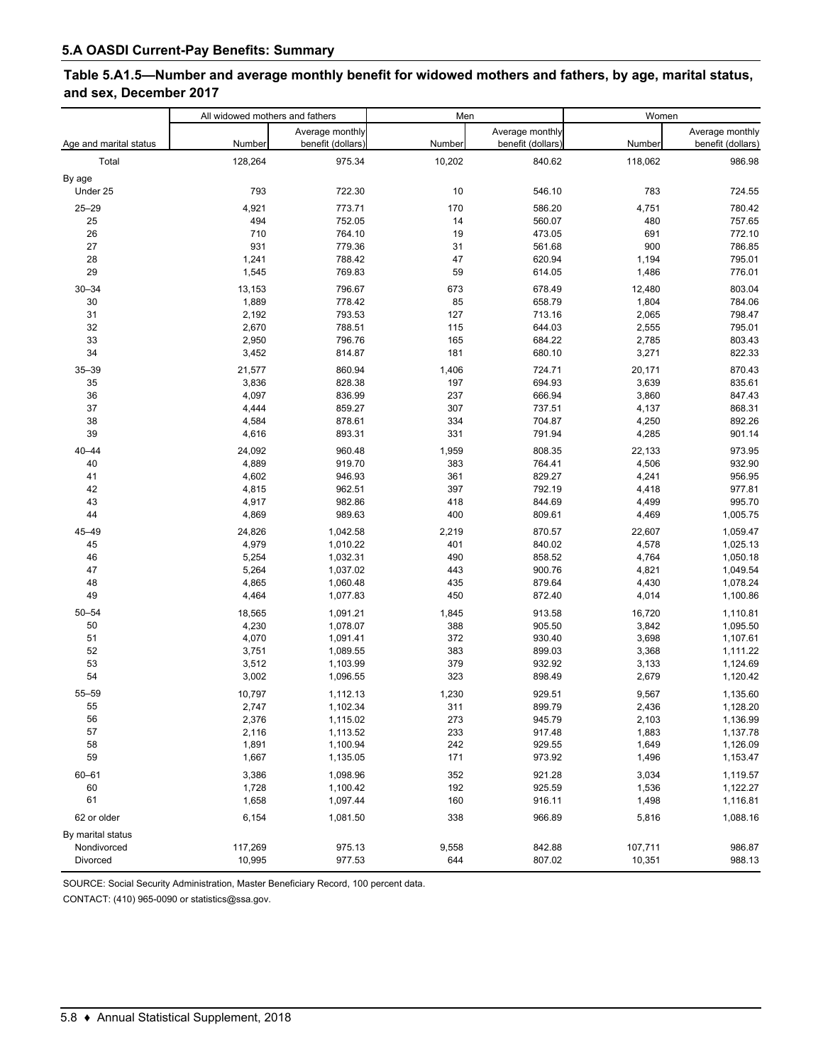## **Table 5.A1.5—Number and average monthly benefit for widowed mothers and fathers, by age, marital status, and sex, December 2017**

|                        | All widowed mothers and fathers |                                      | Men    |                                      |         | Women                                |  |
|------------------------|---------------------------------|--------------------------------------|--------|--------------------------------------|---------|--------------------------------------|--|
| Age and marital status | Number                          | Average monthly<br>benefit (dollars) | Number | Average monthly<br>benefit (dollars) | Number  | Average monthly<br>benefit (dollars) |  |
| Total                  | 128,264                         | 975.34                               | 10,202 | 840.62                               | 118,062 | 986.98                               |  |
| By age                 |                                 |                                      |        |                                      |         |                                      |  |
| Under 25               | 793                             | 722.30                               | 10     | 546.10                               | 783     | 724.55                               |  |
| $25 - 29$              | 4,921                           | 773.71                               | 170    | 586.20                               | 4,751   | 780.42                               |  |
| 25                     | 494                             | 752.05                               | 14     | 560.07                               | 480     | 757.65                               |  |
| 26                     | 710                             | 764.10                               | 19     | 473.05                               | 691     | 772.10                               |  |
| 27                     | 931                             | 779.36                               | 31     | 561.68                               | 900     | 786.85                               |  |
| 28                     | 1,241                           | 788.42                               | 47     | 620.94                               | 1,194   | 795.01                               |  |
| 29                     | 1,545                           | 769.83                               | 59     | 614.05                               | 1,486   | 776.01                               |  |
| $30 - 34$              | 13,153                          | 796.67                               | 673    | 678.49                               | 12,480  | 803.04                               |  |
| 30                     | 1,889                           | 778.42                               | 85     | 658.79                               | 1,804   | 784.06                               |  |
| 31                     | 2,192                           | 793.53                               | 127    | 713.16                               | 2,065   | 798.47                               |  |
| 32                     | 2,670                           | 788.51                               | 115    | 644.03                               | 2,555   | 795.01                               |  |
| 33                     | 2,950                           | 796.76                               | 165    | 684.22                               | 2,785   | 803.43                               |  |
| 34                     | 3,452                           | 814.87                               | 181    | 680.10                               | 3,271   | 822.33                               |  |
| $35 - 39$              | 21,577                          | 860.94                               | 1,406  | 724.71                               | 20,171  | 870.43                               |  |
| 35                     | 3,836                           | 828.38                               | 197    | 694.93                               | 3,639   | 835.61                               |  |
| 36                     | 4,097                           | 836.99                               | 237    | 666.94                               | 3,860   | 847.43                               |  |
| 37                     | 4,444                           | 859.27                               | 307    | 737.51                               | 4,137   | 868.31                               |  |
| 38                     | 4,584                           | 878.61                               | 334    | 704.87                               | 4,250   | 892.26                               |  |
| 39                     | 4,616                           | 893.31                               | 331    | 791.94                               | 4,285   | 901.14                               |  |
| $40 - 44$              | 24,092                          | 960.48                               | 1,959  | 808.35                               | 22,133  | 973.95                               |  |
| 40                     | 4,889                           | 919.70                               | 383    | 764.41                               | 4,506   | 932.90                               |  |
| 41                     | 4,602                           | 946.93                               | 361    | 829.27                               | 4,241   | 956.95                               |  |
| 42                     | 4,815                           | 962.51                               | 397    | 792.19                               | 4,418   | 977.81                               |  |
| 43                     | 4,917                           | 982.86                               | 418    | 844.69                               | 4,499   | 995.70                               |  |
| 44                     | 4,869                           | 989.63                               | 400    | 809.61                               | 4,469   | 1,005.75                             |  |
| 45-49                  | 24,826                          | 1,042.58                             | 2,219  | 870.57                               | 22,607  | 1,059.47                             |  |
| 45                     | 4,979                           | 1,010.22                             | 401    | 840.02                               | 4,578   | 1,025.13                             |  |
| 46                     | 5,254                           | 1,032.31                             | 490    | 858.52                               | 4,764   | 1,050.18                             |  |
| 47                     | 5,264                           | 1,037.02                             | 443    | 900.76                               | 4,821   | 1,049.54                             |  |
| 48                     | 4,865                           | 1,060.48                             | 435    | 879.64                               | 4,430   | 1,078.24                             |  |
| 49                     | 4,464                           | 1,077.83                             | 450    | 872.40                               | 4,014   | 1,100.86                             |  |
| $50 - 54$              | 18,565                          | 1,091.21                             | 1,845  | 913.58                               | 16,720  | 1,110.81                             |  |
| 50                     | 4,230                           | 1,078.07                             | 388    | 905.50                               | 3,842   | 1,095.50                             |  |
| 51                     | 4,070                           | 1,091.41                             | 372    | 930.40                               | 3,698   | 1,107.61                             |  |
| 52                     | 3,751                           | 1,089.55                             | 383    | 899.03                               | 3,368   | 1,111.22                             |  |
| 53                     | 3,512                           | 1,103.99                             | 379    | 932.92                               | 3,133   | 1,124.69                             |  |
| 54                     | 3,002                           | 1,096.55                             | 323    | 898.49                               | 2,679   | 1,120.42                             |  |
| 55-59                  | 10,797                          | 1,112.13                             | 1,230  | 929.51                               | 9,567   | 1,135.60                             |  |
| 55                     | 2,747                           | 1,102.34                             | 311    | 899.79                               | 2,436   | 1,128.20                             |  |
| 56                     | 2,376                           | 1,115.02                             | 273    | 945.79                               | 2,103   | 1,136.99                             |  |
| 57                     | 2,116                           | 1,113.52                             | 233    | 917.48                               | 1,883   | 1,137.78                             |  |
| 58                     | 1,891                           | 1,100.94                             | 242    | 929.55                               | 1,649   | 1,126.09                             |  |
| 59                     | 1,667                           | 1,135.05                             | 171    | 973.92                               | 1,496   | 1,153.47                             |  |
| $60 - 61$              | 3,386                           | 1,098.96                             | 352    | 921.28                               | 3,034   | 1,119.57                             |  |
| 60                     | 1,728                           | 1,100.42                             | 192    | 925.59                               | 1,536   | 1,122.27                             |  |
| 61                     | 1,658                           | 1,097.44                             | 160    | 916.11                               | 1,498   | 1,116.81                             |  |
| 62 or older            | 6,154                           | 1,081.50                             | 338    | 966.89                               | 5,816   | 1,088.16                             |  |
| By marital status      |                                 |                                      |        |                                      |         |                                      |  |
| Nondivorced            | 117,269                         | 975.13                               | 9,558  | 842.88                               | 107,711 | 986.87                               |  |
| Divorced               | 10,995                          | 977.53                               | 644    | 807.02                               | 10,351  | 988.13                               |  |

SOURCE: Social Security Administration, Master Beneficiary Record, 100 percent data.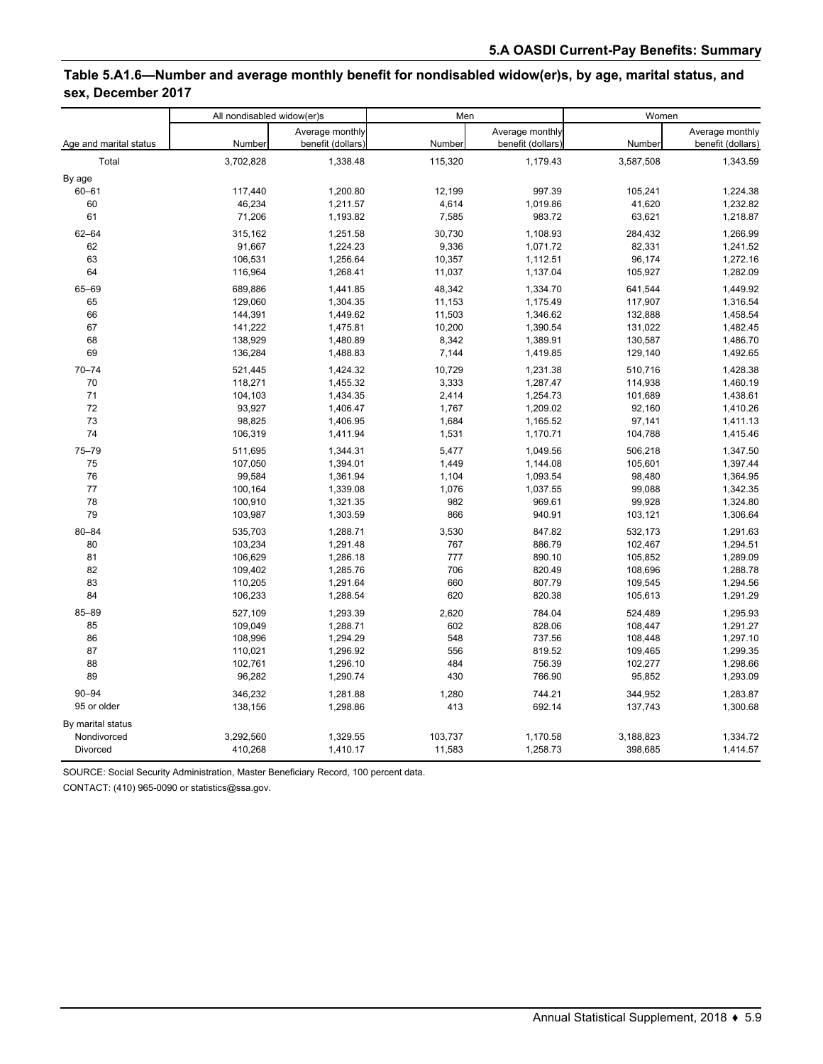## **Table 5.A1.6—Number and average monthly benefit for nondisabled widow(er)s, by age, marital status, and sex, December 2017**

|                        | All nondisabled widow(er)s |                   |         | Men               | Women     |                   |
|------------------------|----------------------------|-------------------|---------|-------------------|-----------|-------------------|
|                        |                            | Average monthly   |         | Average monthly   |           | Average monthly   |
| Age and marital status | Number                     | benefit (dollars) | Number  | benefit (dollars) | Number    | benefit (dollars) |
| Total                  | 3,702,828                  | 1,338.48          | 115,320 | 1,179.43          | 3,587,508 | 1,343.59          |
| By age                 |                            |                   |         |                   |           |                   |
| $60 - 61$              | 117,440                    | 1,200.80          | 12,199  | 997.39            | 105,241   | 1,224.38          |
| 60                     | 46,234                     | 1,211.57          | 4,614   | 1,019.86          | 41,620    | 1,232.82          |
| 61                     | 71,206                     | 1,193.82          | 7,585   | 983.72            | 63,621    | 1,218.87          |
| $62 - 64$              | 315,162                    | 1,251.58          | 30,730  | 1,108.93          | 284,432   | 1,266.99          |
| 62                     | 91,667                     | 1,224.23          | 9,336   | 1,071.72          | 82,331    | 1,241.52          |
| 63                     | 106,531                    | 1,256.64          | 10,357  | 1,112.51          | 96,174    | 1,272.16          |
| 64                     | 116,964                    | 1,268.41          | 11,037  | 1,137.04          | 105,927   | 1,282.09          |
| 65-69                  | 689,886                    | 1,441.85          | 48,342  | 1,334.70          | 641,544   | 1,449.92          |
| 65                     | 129,060                    | 1,304.35          | 11,153  | 1,175.49          | 117,907   | 1,316.54          |
| 66                     | 144,391                    | 1,449.62          | 11,503  | 1,346.62          | 132,888   | 1,458.54          |
| 67                     | 141,222                    | 1,475.81          | 10,200  | 1,390.54          | 131,022   | 1,482.45          |
| 68                     | 138,929                    | 1,480.89          | 8,342   | 1,389.91          | 130,587   | 1,486.70          |
| 69                     | 136,284                    | 1,488.83          | 7,144   | 1,419.85          | 129,140   | 1,492.65          |
| $70 - 74$              | 521,445                    | 1,424.32          | 10,729  | 1,231.38          | 510,716   | 1,428.38          |
| 70                     | 118,271                    | 1,455.32          | 3,333   | 1,287.47          | 114,938   | 1,460.19          |
| 71                     | 104,103                    | 1,434.35          | 2,414   | 1,254.73          | 101,689   | 1,438.61          |
| 72                     | 93,927                     | 1,406.47          | 1,767   | 1,209.02          | 92,160    | 1,410.26          |
| 73                     | 98,825                     | 1,406.95          | 1,684   | 1,165.52          | 97,141    | 1,411.13          |
| 74                     | 106,319                    | 1,411.94          | 1,531   | 1,170.71          | 104,788   | 1,415.46          |
| 75-79                  | 511,695                    | 1,344.31          | 5,477   | 1,049.56          | 506,218   | 1,347.50          |
| 75                     | 107,050                    | 1,394.01          | 1,449   | 1,144.08          | 105,601   | 1,397.44          |
| 76                     | 99,584                     | 1,361.94          | 1,104   | 1,093.54          | 98,480    | 1,364.95          |
| 77                     | 100,164                    | 1,339.08          | 1,076   | 1,037.55          | 99,088    | 1,342.35          |
| 78                     | 100,910                    | 1,321.35          | 982     | 969.61            | 99,928    | 1,324.80          |
| 79                     | 103,987                    | 1,303.59          | 866     | 940.91            | 103,121   | 1,306.64          |
| $80 - 84$              | 535,703                    | 1,288.71          | 3,530   | 847.82            | 532,173   | 1,291.63          |
| 80                     | 103,234                    | 1,291.48          | 767     | 886.79            | 102,467   | 1,294.51          |
| 81                     | 106,629                    | 1,286.18          | 777     | 890.10            | 105,852   | 1,289.09          |
| 82                     | 109,402                    | 1,285.76          | 706     | 820.49            | 108,696   | 1,288.78          |
| 83                     | 110,205                    | 1,291.64          | 660     | 807.79            | 109,545   | 1,294.56          |
| 84                     | 106,233                    | 1,288.54          | 620     | 820.38            | 105,613   | 1,291.29          |
| 85-89                  | 527,109                    | 1,293.39          | 2,620   | 784.04            | 524,489   | 1,295.93          |
| 85                     | 109,049                    | 1,288.71          | 602     | 828.06            | 108,447   | 1,291.27          |
| 86                     | 108,996                    | 1,294.29          | 548     | 737.56            | 108,448   | 1,297.10          |
| 87                     | 110,021                    | 1,296.92          | 556     | 819.52            | 109,465   | 1,299.35          |
| 88                     | 102,761                    | 1,296.10          | 484     | 756.39            | 102,277   | 1,298.66          |
| 89                     | 96,282                     | 1,290.74          | 430     | 766.90            | 95,852    | 1,293.09          |
| $90 - 94$              | 346,232                    | 1,281.88          | 1,280   | 744.21            | 344,952   | 1,283.87          |
| 95 or older            | 138,156                    | 1,298.86          | 413     | 692.14            | 137,743   | 1,300.68          |
| By marital status      |                            |                   |         |                   |           |                   |
| Nondivorced            | 3,292,560                  | 1,329.55          | 103,737 | 1,170.58          | 3,188,823 | 1,334.72          |
| Divorced               | 410,268                    | 1,410.17          | 11,583  | 1,258.73          | 398,685   | 1,414.57          |

SOURCE: Social Security Administration, Master Beneficiary Record, 100 percent data.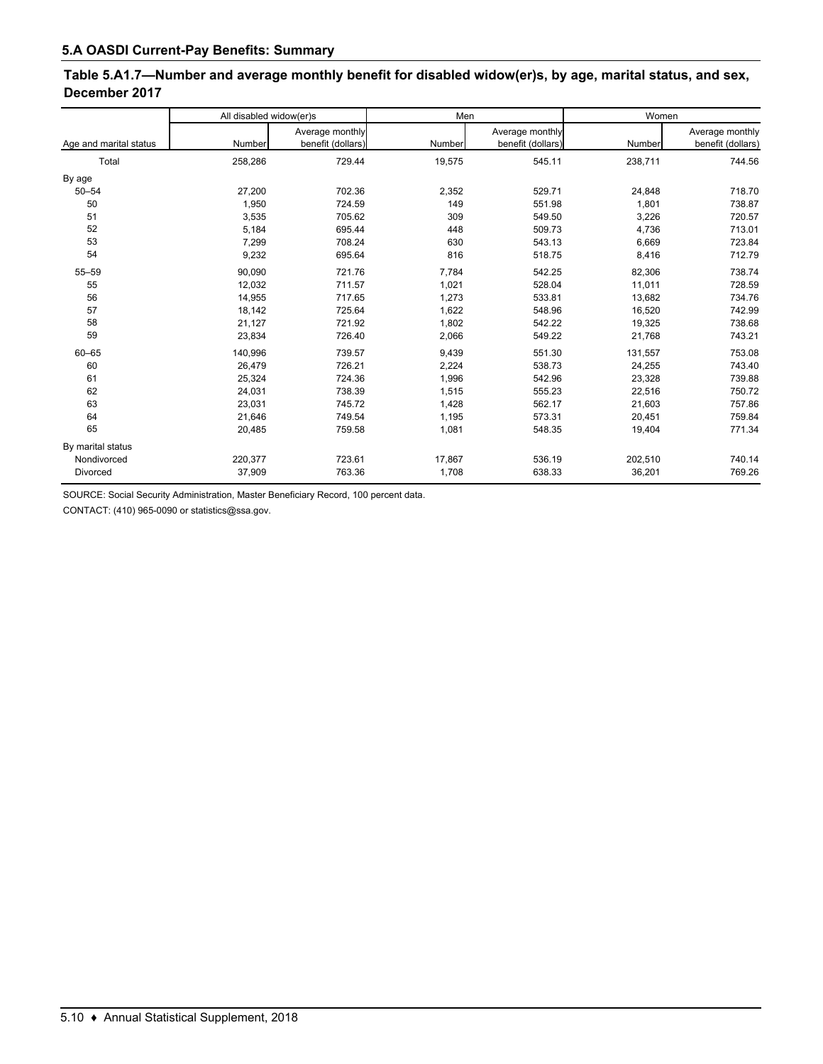## **Table 5.A1.7—Number and average monthly benefit for disabled widow(er)s, by age, marital status, and sex, December 2017**

|                        | All disabled widow(er)s |                   | Men    |                   | Women   |                   |
|------------------------|-------------------------|-------------------|--------|-------------------|---------|-------------------|
|                        |                         | Average monthly   |        | Average monthly   |         | Average monthly   |
| Age and marital status | Number                  | benefit (dollars) | Number | benefit (dollars) | Number  | benefit (dollars) |
| Total                  | 258,286                 | 729.44            | 19,575 | 545.11            | 238,711 | 744.56            |
| By age                 |                         |                   |        |                   |         |                   |
| $50 - 54$              | 27,200                  | 702.36            | 2,352  | 529.71            | 24,848  | 718.70            |
| 50                     | 1.950                   | 724.59            | 149    | 551.98            | 1,801   | 738.87            |
| 51                     | 3,535                   | 705.62            | 309    | 549.50            | 3,226   | 720.57            |
| 52                     | 5,184                   | 695.44            | 448    | 509.73            | 4,736   | 713.01            |
| 53                     | 7,299                   | 708.24            | 630    | 543.13            | 6,669   | 723.84            |
| 54                     | 9,232                   | 695.64            | 816    | 518.75            | 8,416   | 712.79            |
| 55-59                  | 90,090                  | 721.76            | 7,784  | 542.25            | 82,306  | 738.74            |
| 55                     | 12,032                  | 711.57            | 1,021  | 528.04            | 11,011  | 728.59            |
| 56                     | 14,955                  | 717.65            | 1,273  | 533.81            | 13,682  | 734.76            |
| 57                     | 18,142                  | 725.64            | 1,622  | 548.96            | 16,520  | 742.99            |
| 58                     | 21,127                  | 721.92            | 1,802  | 542.22            | 19,325  | 738.68            |
| 59                     | 23,834                  | 726.40            | 2,066  | 549.22            | 21,768  | 743.21            |
| $60 - 65$              | 140,996                 | 739.57            | 9,439  | 551.30            | 131,557 | 753.08            |
| 60                     | 26,479                  | 726.21            | 2,224  | 538.73            | 24,255  | 743.40            |
| 61                     | 25,324                  | 724.36            | 1,996  | 542.96            | 23,328  | 739.88            |
| 62                     | 24,031                  | 738.39            | 1,515  | 555.23            | 22,516  | 750.72            |
| 63                     | 23,031                  | 745.72            | 1,428  | 562.17            | 21,603  | 757.86            |
| 64                     | 21,646                  | 749.54            | 1,195  | 573.31            | 20,451  | 759.84            |
| 65                     | 20,485                  | 759.58            | 1,081  | 548.35            | 19,404  | 771.34            |
| By marital status      |                         |                   |        |                   |         |                   |
| Nondivorced            | 220,377                 | 723.61            | 17,867 | 536.19            | 202,510 | 740.14            |
| Divorced               | 37,909                  | 763.36            | 1,708  | 638.33            | 36,201  | 769.26            |

SOURCE: Social Security Administration, Master Beneficiary Record, 100 percent data.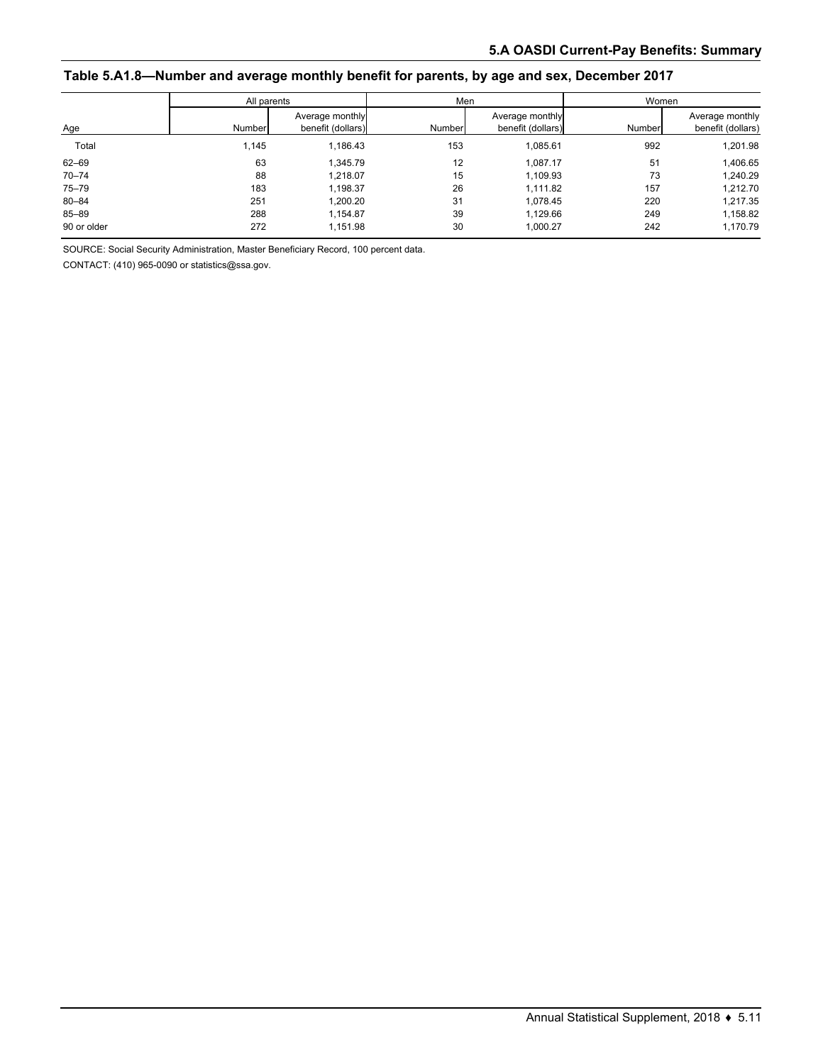#### **Table 5.A1.8—Number and average monthly benefit for parents, by age and sex, December 2017**

| All parents |        |                                      |        | Men                                  | Women  |                                      |  |
|-------------|--------|--------------------------------------|--------|--------------------------------------|--------|--------------------------------------|--|
| Age         | Number | Average monthly<br>benefit (dollars) | Number | Average monthly<br>benefit (dollars) | Number | Average monthly<br>benefit (dollars) |  |
| Total       | 1,145  | 1,186.43                             | 153    | 1,085.61                             | 992    | 1,201.98                             |  |
| 62-69       | 63     | 1.345.79                             | 12     | 1.087.17                             | 51     | 1,406.65                             |  |
| $70 - 74$   | 88     | 1.218.07                             | 15     | 1,109.93                             | 73     | 1,240.29                             |  |
| $75 - 79$   | 183    | 1.198.37                             | 26     | 1.111.82                             | 157    | 1,212.70                             |  |
| $80 - 84$   | 251    | 1,200.20                             | 31     | 1,078.45                             | 220    | 1,217.35                             |  |
| 85-89       | 288    | 1.154.87                             | 39     | 1.129.66                             | 249    | 1,158.82                             |  |
| 90 or older | 272    | 1,151.98                             | 30     | 1,000.27                             | 242    | 1,170.79                             |  |

SOURCE: Social Security Administration, Master Beneficiary Record, 100 percent data.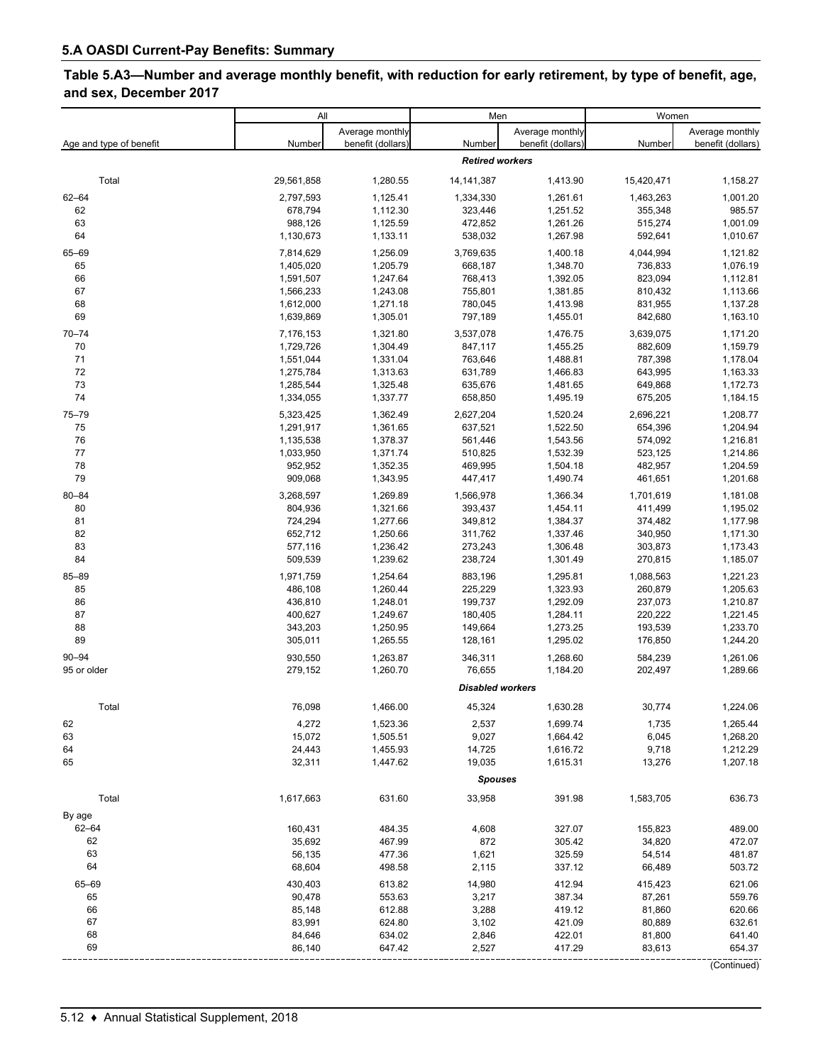## **Table 5.A3—Number and average monthly benefit, with reduction for early retirement, by type of benefit, age, and sex, December 2017**

|                         | All                    |                      | Men                     |                      | Women                |                      |
|-------------------------|------------------------|----------------------|-------------------------|----------------------|----------------------|----------------------|
|                         |                        | Average monthly      |                         | Average monthly      |                      | Average monthly      |
| Age and type of benefit | Number                 | benefit (dollars)    | Number                  | benefit (dollars)    | Number               | benefit (dollars)    |
|                         |                        |                      | <b>Retired workers</b>  |                      |                      |                      |
| Total                   | 29,561,858             | 1,280.55             | 14, 141, 387            | 1,413.90             | 15,420,471           | 1,158.27             |
| $62 - 64$               | 2,797,593              | 1,125.41             | 1,334,330               | 1,261.61             | 1,463,263            | 1,001.20             |
| 62                      | 678,794                | 1,112.30             | 323,446                 | 1,251.52             | 355,348              | 985.57               |
| 63                      | 988,126                | 1,125.59             | 472,852                 | 1,261.26             | 515,274              | 1,001.09             |
| 64                      | 1,130,673              | 1,133.11             | 538,032                 | 1,267.98             | 592,641              | 1,010.67             |
| 65-69                   | 7,814,629              | 1,256.09             | 3,769,635               | 1,400.18             | 4,044,994            | 1,121.82             |
| 65                      | 1,405,020              | 1,205.79             | 668,187                 | 1,348.70             | 736,833              | 1,076.19             |
| 66                      | 1,591,507              | 1,247.64             | 768,413                 | 1,392.05             | 823,094              | 1,112.81             |
| 67<br>68                | 1,566,233              | 1,243.08             | 755,801                 | 1,381.85             | 810,432              | 1,113.66<br>1,137.28 |
| 69                      | 1,612,000<br>1,639,869 | 1,271.18<br>1,305.01 | 780,045<br>797,189      | 1,413.98<br>1,455.01 | 831,955<br>842,680   | 1,163.10             |
|                         |                        |                      |                         |                      |                      |                      |
| $70 - 74$<br>70         | 7,176,153<br>1,729,726 | 1,321.80<br>1,304.49 | 3,537,078<br>847,117    | 1,476.75<br>1,455.25 | 3,639,075<br>882,609 | 1,171.20<br>1,159.79 |
| 71                      | 1,551,044              | 1,331.04             | 763,646                 | 1,488.81             | 787,398              | 1,178.04             |
| 72                      | 1,275,784              | 1,313.63             | 631,789                 | 1,466.83             | 643,995              | 1,163.33             |
| 73                      | 1,285,544              | 1,325.48             | 635,676                 | 1,481.65             | 649,868              | 1,172.73             |
| 74                      | 1,334,055              | 1,337.77             | 658,850                 | 1,495.19             | 675,205              | 1,184.15             |
| 75-79                   | 5,323,425              | 1,362.49             | 2,627,204               | 1,520.24             | 2,696,221            | 1,208.77             |
| 75                      | 1,291,917              | 1,361.65             | 637,521                 | 1,522.50             | 654,396              | 1,204.94             |
| 76                      | 1,135,538              | 1,378.37             | 561,446                 | 1,543.56             | 574,092              | 1,216.81             |
| 77                      | 1,033,950              | 1,371.74             | 510,825                 | 1,532.39             | 523,125              | 1,214.86             |
| 78                      | 952,952                | 1,352.35             | 469,995                 | 1,504.18             | 482,957              | 1,204.59             |
| 79                      | 909,068                | 1,343.95             | 447,417                 | 1,490.74             | 461,651              | 1,201.68             |
| $80 - 84$               | 3,268,597              | 1,269.89             | 1,566,978               | 1,366.34             | 1,701,619            | 1,181.08             |
| 80                      | 804,936                | 1,321.66             | 393,437                 | 1,454.11             | 411,499              | 1,195.02             |
| 81                      | 724,294                | 1,277.66             | 349,812                 | 1,384.37             | 374,482              | 1,177.98             |
| 82<br>83                | 652,712<br>577,116     | 1,250.66<br>1,236.42 | 311,762<br>273,243      | 1,337.46<br>1,306.48 | 340,950<br>303,873   | 1,171.30<br>1,173.43 |
| 84                      | 509,539                | 1,239.62             | 238,724                 | 1,301.49             | 270,815              | 1,185.07             |
| 85-89                   | 1,971,759              | 1,254.64             | 883,196                 |                      |                      | 1,221.23             |
| 85                      | 486,108                | 1,260.44             | 225,229                 | 1,295.81<br>1,323.93 | 1,088,563<br>260,879 | 1,205.63             |
| 86                      | 436,810                | 1,248.01             | 199,737                 | 1,292.09             | 237,073              | 1,210.87             |
| 87                      | 400,627                | 1,249.67             | 180,405                 | 1,284.11             | 220,222              | 1,221.45             |
| 88                      | 343,203                | 1,250.95             | 149,664                 | 1,273.25             | 193,539              | 1,233.70             |
| 89                      | 305,011                | 1,265.55             | 128,161                 | 1,295.02             | 176,850              | 1,244.20             |
| $90 - 94$               | 930,550                | 1,263.87             | 346,311                 | 1,268.60             | 584,239              | 1,261.06             |
| 95 or older             | 279,152                | 1,260.70             | 76,655                  | 1,184.20             | 202,497              | 1,289.66             |
|                         |                        |                      | <b>Disabled workers</b> |                      |                      |                      |
| Total                   | 76,098                 | 1,466.00             | 45,324                  | 1,630.28             | 30,774               | 1,224.06             |
| 62                      | 4,272                  | 1,523.36             | 2,537                   | 1,699.74             | 1,735                | 1,265.44             |
| 63                      | 15,072                 | 1,505.51             | 9,027                   | 1,664.42             | 6,045                | 1,268.20             |
| 64                      | 24,443                 | 1,455.93             | 14,725                  | 1,616.72             | 9,718                | 1,212.29             |
| 65                      | 32,311                 | 1,447.62             | 19,035                  | 1,615.31             | 13,276               | 1,207.18             |
|                         |                        |                      | <b>Spouses</b>          |                      |                      |                      |
| Total                   | 1,617,663              | 631.60               | 33,958                  | 391.98               | 1,583,705            | 636.73               |
|                         |                        |                      |                         |                      |                      |                      |
| By age<br>62-64         | 160,431                | 484.35               | 4,608                   | 327.07               | 155,823              | 489.00               |
| 62                      | 35,692                 | 467.99               | 872                     | 305.42               | 34,820               | 472.07               |
| 63                      | 56,135                 | 477.36               | 1,621                   | 325.59               | 54,514               | 481.87               |
| 64                      | 68,604                 | 498.58               | 2,115                   | 337.12               | 66,489               | 503.72               |
| 65-69                   | 430,403                | 613.82               | 14,980                  | 412.94               | 415,423              | 621.06               |
| 65                      | 90,478                 | 553.63               | 3,217                   | 387.34               | 87,261               | 559.76               |
| 66                      | 85,148                 | 612.88               | 3,288                   | 419.12               | 81,860               | 620.66               |
| 67                      | 83,991                 | 624.80               | 3,102                   | 421.09               | 80,889               | 632.61               |
| 68                      | 84,646                 | 634.02               | 2,846                   | 422.01               | 81,800               | 641.40               |
| 69                      | 86,140                 | 647.42               | 2,527                   | 417.29               | 83,613               | 654.37               |
|                         |                        |                      |                         |                      |                      | (Continued)          |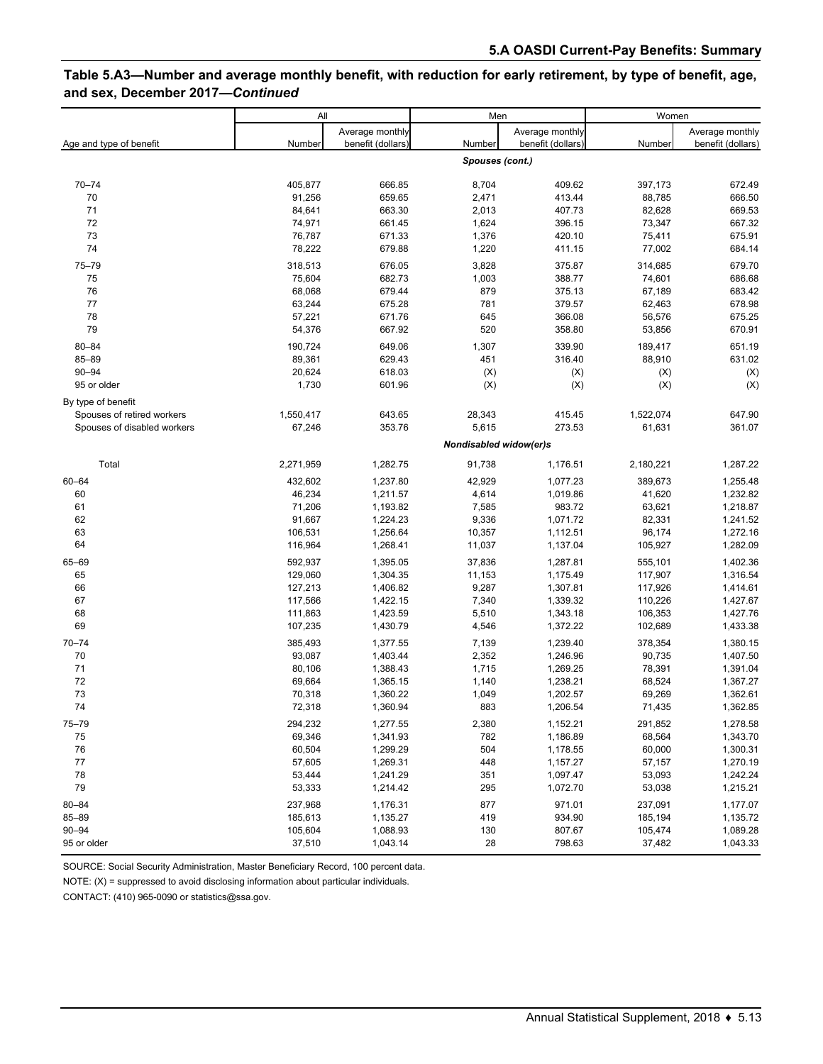## **Table 5.A3—Number and average monthly benefit, with reduction for early retirement, by type of benefit, age, and sex, December 2017—***Continued*

|                             | All       |                   | Men                    |                   | Women     |                   |
|-----------------------------|-----------|-------------------|------------------------|-------------------|-----------|-------------------|
|                             |           | Average monthly   |                        | Average monthly   |           | Average monthly   |
| Age and type of benefit     | Number    | benefit (dollars) | Number                 | benefit (dollars) | Number    | benefit (dollars) |
|                             |           |                   | Spouses (cont.)        |                   |           |                   |
| $70 - 74$                   | 405,877   | 666.85            | 8,704                  | 409.62            | 397,173   | 672.49            |
| 70                          | 91,256    | 659.65            | 2,471                  | 413.44            | 88,785    | 666.50            |
| 71                          | 84,641    | 663.30            | 2,013                  | 407.73            | 82,628    | 669.53            |
| 72                          | 74,971    | 661.45            | 1,624                  | 396.15            | 73,347    | 667.32            |
| 73                          | 76,787    | 671.33            | 1,376                  | 420.10            | 75,411    | 675.91            |
| 74                          | 78,222    | 679.88            | 1,220                  | 411.15            | 77,002    | 684.14            |
| 75-79                       | 318,513   | 676.05            | 3,828                  | 375.87            | 314,685   | 679.70            |
| 75                          | 75,604    | 682.73            | 1,003                  | 388.77            | 74,601    | 686.68            |
| 76                          | 68,068    | 679.44            | 879                    | 375.13            | 67,189    | 683.42            |
| 77                          | 63,244    | 675.28            | 781                    | 379.57            | 62,463    | 678.98            |
| 78                          | 57,221    | 671.76            | 645                    | 366.08            | 56,576    | 675.25            |
| 79                          | 54,376    | 667.92            | 520                    | 358.80            | 53,856    | 670.91            |
| $80 - 84$                   | 190,724   | 649.06            | 1,307                  | 339.90            | 189,417   | 651.19            |
| 85-89                       | 89,361    | 629.43            | 451                    | 316.40            | 88,910    | 631.02            |
| $90 - 94$                   | 20,624    | 618.03            | (X)                    | (X)               | (X)       | (X)               |
| 95 or older                 | 1,730     | 601.96            | (X)                    | (X)               | (X)       | (X)               |
| By type of benefit          |           |                   |                        |                   |           |                   |
| Spouses of retired workers  | 1,550,417 | 643.65            | 28,343                 | 415.45            | 1,522,074 | 647.90            |
| Spouses of disabled workers | 67,246    | 353.76            | 5,615                  | 273.53            | 61,631    | 361.07            |
|                             |           |                   | Nondisabled widow(er)s |                   |           |                   |
| Total                       | 2,271,959 | 1,282.75          | 91,738                 | 1,176.51          | 2,180,221 | 1,287.22          |
| 60-64                       | 432,602   | 1,237.80          | 42,929                 | 1,077.23          | 389,673   | 1,255.48          |
| 60                          | 46,234    | 1,211.57          | 4,614                  | 1,019.86          | 41,620    | 1,232.82          |
| 61                          | 71,206    | 1,193.82          | 7,585                  | 983.72            | 63,621    | 1,218.87          |
| 62                          | 91,667    | 1,224.23          | 9,336                  | 1,071.72          | 82,331    | 1,241.52          |
| 63                          | 106,531   | 1,256.64          | 10,357                 | 1,112.51          | 96,174    | 1,272.16          |
| 64                          | 116,964   | 1,268.41          | 11,037                 | 1,137.04          | 105,927   | 1,282.09          |
| 65-69                       | 592,937   | 1,395.05          | 37,836                 | 1,287.81          | 555,101   | 1,402.36          |
| 65                          | 129,060   | 1,304.35          | 11,153                 | 1,175.49          | 117,907   | 1,316.54          |
| 66                          | 127,213   | 1,406.82          | 9,287                  | 1,307.81          | 117,926   | 1,414.61          |
| 67                          | 117,566   | 1,422.15          | 7,340                  | 1,339.32          | 110,226   | 1,427.67          |
| 68                          | 111,863   | 1,423.59          | 5,510                  | 1,343.18          | 106,353   | 1,427.76          |
| 69                          | 107,235   | 1,430.79          | 4,546                  | 1,372.22          | 102,689   | 1,433.38          |
| $70 - 74$                   | 385,493   | 1,377.55          | 7,139                  | 1,239.40          | 378,354   | 1,380.15          |
| 70                          | 93,087    | 1,403.44          | 2,352                  | 1,246.96          | 90,735    | 1,407.50          |
| 71                          | 80,106    | 1,388.43          | 1,715                  | 1,269.25          | 78,391    | 1,391.04          |
| 72                          | 69,664    | 1,365.15          | 1,140                  | 1,238.21          | 68,524    | 1,367.27          |
| 73                          | 70,318    | 1,360.22          | 1,049                  | 1,202.57          | 69,269    | 1,362.61          |
| 74                          | 72,318    | 1,360.94          | 883                    | 1,206.54          | 71,435    | 1,362.85          |
| $75 - 79$                   | 294,232   | 1,277.55          | 2,380                  | 1,152.21          | 291,852   | 1,278.58          |
| 75                          | 69,346    | 1,341.93          | 782                    | 1,186.89          | 68,564    | 1,343.70          |
| 76                          | 60,504    | 1,299.29          | 504                    | 1,178.55          | 60,000    | 1,300.31          |
| 77                          | 57,605    | 1,269.31          | 448                    | 1,157.27          | 57,157    | 1,270.19          |
| 78                          | 53,444    | 1,241.29          | 351                    | 1,097.47          | 53,093    | 1,242.24          |
| 79                          | 53,333    | 1,214.42          | 295                    | 1,072.70          | 53,038    | 1,215.21          |
| $80 - 84$                   | 237,968   | 1,176.31          | 877                    | 971.01            | 237,091   | 1,177.07          |
| 85-89                       | 185,613   | 1,135.27          | 419                    | 934.90            | 185,194   | 1,135.72          |
| $90 - 94$                   | 105,604   | 1,088.93          | 130                    | 807.67            | 105,474   | 1,089.28          |
| 95 or older                 | 37,510    | 1,043.14          | 28                     | 798.63            | 37,482    | 1,043.33          |

SOURCE: Social Security Administration, Master Beneficiary Record, 100 percent data.

NOTE: (X) = suppressed to avoid disclosing information about particular individuals.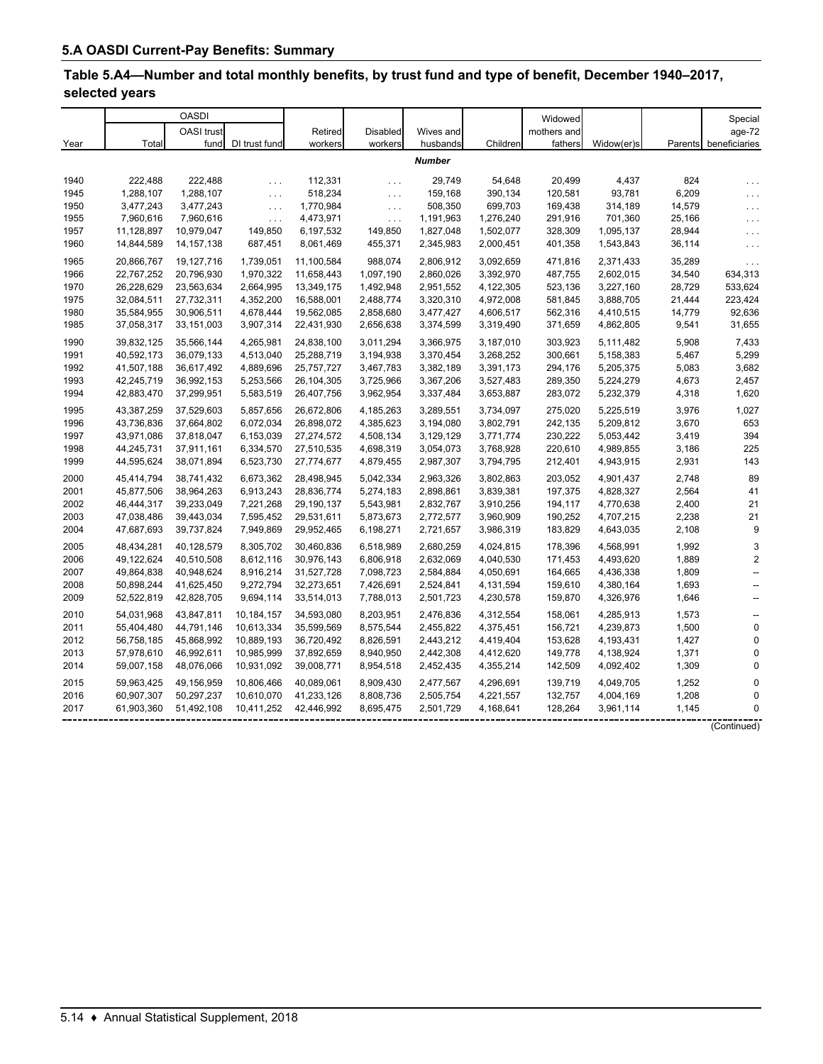# **Table 5.A4—Number and total monthly benefits, by trust fund and type of benefit, December 1940–2017, selected years**

|      |            | <b>OASDI</b> |                      |            |                 |               |           | Widowed     |            |        | Special                  |
|------|------------|--------------|----------------------|------------|-----------------|---------------|-----------|-------------|------------|--------|--------------------------|
|      |            | OASI trust   |                      | Retired    | <b>Disabled</b> | Wives and     |           | mothers and |            |        | age-72                   |
| Year | Total      | fund         | DI trust fund        | workers    | workers         | husbands      | Children  | fathers     | Widow(er)s |        | Parents beneficiaries    |
|      |            |              |                      |            |                 | <b>Number</b> |           |             |            |        |                          |
| 1940 | 222.488    | 222.488      | $\sim 100$           | 112,331    | $\cdots$        | 29.749        | 54,648    | 20.499      | 4,437      | 824    | .                        |
| 1945 | 1,288,107  | 1,288,107    | $\sim$ $\sim$ $\sim$ | 518,234    | $\ldots$        | 159,168       | 390,134   | 120,581     | 93,781     | 6,209  | .                        |
| 1950 | 3,477,243  | 3,477,243    | $\ldots$             | 1,770,984  | $\ldots$        | 508,350       | 699,703   | 169,438     | 314,189    | 14,579 | $\cdots$                 |
| 1955 | 7,960,616  | 7,960,616    | $\sim$ $\sim$ $\sim$ | 4,473,971  | $\cdots$        | 1,191,963     | 1,276,240 | 291,916     | 701,360    | 25,166 | .                        |
| 1957 | 11,128,897 | 10,979,047   | 149,850              | 6,197,532  | 149,850         | 1,827,048     | 1,502,077 | 328,309     | 1,095,137  | 28,944 | $\cdots$                 |
| 1960 | 14,844,589 | 14, 157, 138 | 687,451              | 8,061,469  | 455,371         | 2,345,983     | 2,000,451 | 401,358     | 1,543,843  | 36,114 | $\cdots$                 |
| 1965 | 20,866,767 | 19,127,716   | 1,739,051            | 11,100,584 | 988,074         | 2,806,912     | 3,092,659 | 471,816     | 2,371,433  | 35,289 | $\ldots$                 |
| 1966 | 22,767,252 | 20,796,930   | 1,970,322            | 11,658,443 | 1,097,190       | 2,860,026     | 3,392,970 | 487,755     | 2,602,015  | 34,540 | 634,313                  |
| 1970 | 26,228,629 | 23,563,634   | 2,664,995            | 13,349,175 | 1,492,948       | 2,951,552     | 4,122,305 | 523,136     | 3,227,160  | 28,729 | 533,624                  |
| 1975 | 32,084,511 | 27,732,311   | 4,352,200            | 16,588,001 | 2,488,774       | 3,320,310     | 4,972,008 | 581,845     | 3,888,705  | 21,444 | 223,424                  |
| 1980 | 35,584,955 | 30,906,511   | 4,678,444            | 19,562,085 | 2,858,680       | 3,477,427     | 4,606,517 | 562,316     | 4,410,515  | 14,779 | 92,636                   |
| 1985 | 37,058,317 | 33,151,003   | 3,907,314            | 22,431,930 | 2,656,638       | 3,374,599     | 3,319,490 | 371,659     | 4,862,805  | 9,541  | 31,655                   |
| 1990 | 39,832,125 | 35,566,144   | 4,265,981            | 24,838,100 | 3,011,294       | 3,366,975     | 3,187,010 | 303,923     | 5,111,482  | 5,908  | 7,433                    |
| 1991 | 40,592,173 | 36,079,133   | 4,513,040            | 25,288,719 | 3,194,938       | 3,370,454     | 3,268,252 | 300,661     | 5,158,383  | 5,467  | 5,299                    |
| 1992 | 41,507,188 | 36,617,492   | 4,889,696            | 25,757,727 | 3,467,783       | 3,382,189     | 3,391,173 | 294,176     | 5,205,375  | 5,083  | 3,682                    |
| 1993 | 42,245,719 | 36,992,153   | 5,253,566            | 26,104,305 | 3,725,966       | 3,367,206     | 3,527,483 | 289,350     | 5,224,279  | 4,673  | 2,457                    |
| 1994 | 42,883,470 | 37,299,951   | 5,583,519            | 26,407,756 | 3,962,954       | 3,337,484     | 3,653,887 | 283,072     | 5,232,379  | 4,318  | 1,620                    |
| 1995 | 43,387,259 | 37,529,603   | 5,857,656            | 26,672,806 | 4,185,263       | 3,289,551     | 3,734,097 | 275,020     | 5,225,519  | 3,976  | 1,027                    |
| 1996 | 43,736,836 | 37,664,802   | 6,072,034            | 26,898,072 | 4,385,623       | 3,194,080     | 3,802,791 | 242,135     | 5,209,812  | 3,670  | 653                      |
| 1997 | 43,971,086 | 37,818,047   | 6,153,039            | 27,274,572 | 4,508,134       | 3,129,129     | 3,771,774 | 230,222     | 5,053,442  | 3,419  | 394                      |
| 1998 | 44,245,731 | 37,911,161   | 6,334,570            | 27,510,535 | 4,698,319       | 3,054,073     | 3,768,928 | 220,610     | 4,989,855  | 3,186  | 225                      |
| 1999 | 44,595,624 | 38,071,894   | 6,523,730            | 27,774,677 | 4,879,455       | 2,987,307     | 3,794,795 | 212,401     | 4,943,915  | 2,931  | 143                      |
| 2000 | 45,414,794 | 38,741,432   | 6,673,362            | 28,498,945 | 5,042,334       | 2,963,326     | 3,802,863 | 203,052     | 4,901,437  | 2,748  | 89                       |
| 2001 | 45,877,506 | 38,964,263   | 6,913,243            | 28,836,774 | 5,274,183       | 2,898,861     | 3,839,381 | 197,375     | 4,828,327  | 2,564  | 41                       |
| 2002 | 46,444,317 | 39,233,049   | 7,221,268            | 29,190,137 | 5,543,981       | 2,832,767     | 3,910,256 | 194,117     | 4,770,638  | 2,400  | 21                       |
| 2003 | 47,038,486 | 39,443,034   | 7,595,452            | 29,531,611 | 5,873,673       | 2,772,577     | 3,960,909 | 190,252     | 4,707,215  | 2,238  | 21                       |
| 2004 | 47,687,693 | 39,737,824   | 7,949,869            | 29,952,465 | 6,198,271       | 2,721,657     | 3,986,319 | 183,829     | 4,643,035  | 2,108  | 9                        |
| 2005 | 48,434,281 | 40,128,579   | 8,305,702            | 30,460,836 | 6,518,989       | 2,680,259     | 4,024,815 | 178,396     | 4,568,991  | 1,992  | 3                        |
| 2006 | 49,122,624 | 40,510,508   | 8,612,116            | 30,976,143 | 6,806,918       | 2,632,069     | 4,040,530 | 171,453     | 4,493,620  | 1,889  | $\overline{2}$           |
| 2007 | 49,864,838 | 40,948,624   | 8,916,214            | 31,527,728 | 7,098,723       | 2,584,884     | 4,050,691 | 164,665     | 4,436,338  | 1,809  | $\overline{\phantom{a}}$ |
| 2008 | 50,898,244 | 41,625,450   | 9,272,794            | 32,273,651 | 7,426,691       | 2,524,841     | 4,131,594 | 159,610     | 4,380,164  | 1,693  | --                       |
| 2009 | 52,522,819 | 42,828,705   | 9,694,114            | 33,514,013 | 7,788,013       | 2,501,723     | 4,230,578 | 159,870     | 4,326,976  | 1,646  | $\overline{\phantom{a}}$ |
| 2010 | 54,031,968 | 43,847,811   | 10,184,157           | 34,593,080 | 8,203,951       | 2,476,836     | 4,312,554 | 158,061     | 4,285,913  | 1,573  | $\ddotsc$                |
| 2011 | 55,404,480 | 44,791,146   | 10,613,334           | 35,599,569 | 8,575,544       | 2,455,822     | 4,375,451 | 156,721     | 4,239,873  | 1,500  | $\mathbf 0$              |
| 2012 | 56,758,185 | 45,868,992   | 10,889,193           | 36,720,492 | 8,826,591       | 2,443,212     | 4,419,404 | 153,628     | 4,193,431  | 1,427  | $\mathbf 0$              |
| 2013 | 57,978,610 | 46,992,611   | 10,985,999           | 37,892,659 | 8,940,950       | 2,442,308     | 4,412,620 | 149,778     | 4,138,924  | 1,371  | 0                        |
| 2014 | 59,007,158 | 48,076,066   | 10,931,092           | 39,008,771 | 8,954,518       | 2,452,435     | 4,355,214 | 142,509     | 4,092,402  | 1,309  | $\Omega$                 |
| 2015 | 59,963,425 | 49,156,959   | 10,806,466           | 40,089,061 | 8,909,430       | 2,477,567     | 4,296,691 | 139,719     | 4,049,705  | 1,252  | $\mathbf 0$              |
| 2016 | 60,907,307 | 50,297,237   | 10,610,070           | 41,233,126 | 8,808,736       | 2,505,754     | 4,221,557 | 132,757     | 4,004,169  | 1,208  | 0                        |
| 2017 | 61,903,360 | 51,492,108   | 10,411,252           | 42,446,992 | 8,695,475       | 2,501,729     | 4,168,641 | 128,264     | 3,961,114  | 1,145  | 0                        |

(Continued)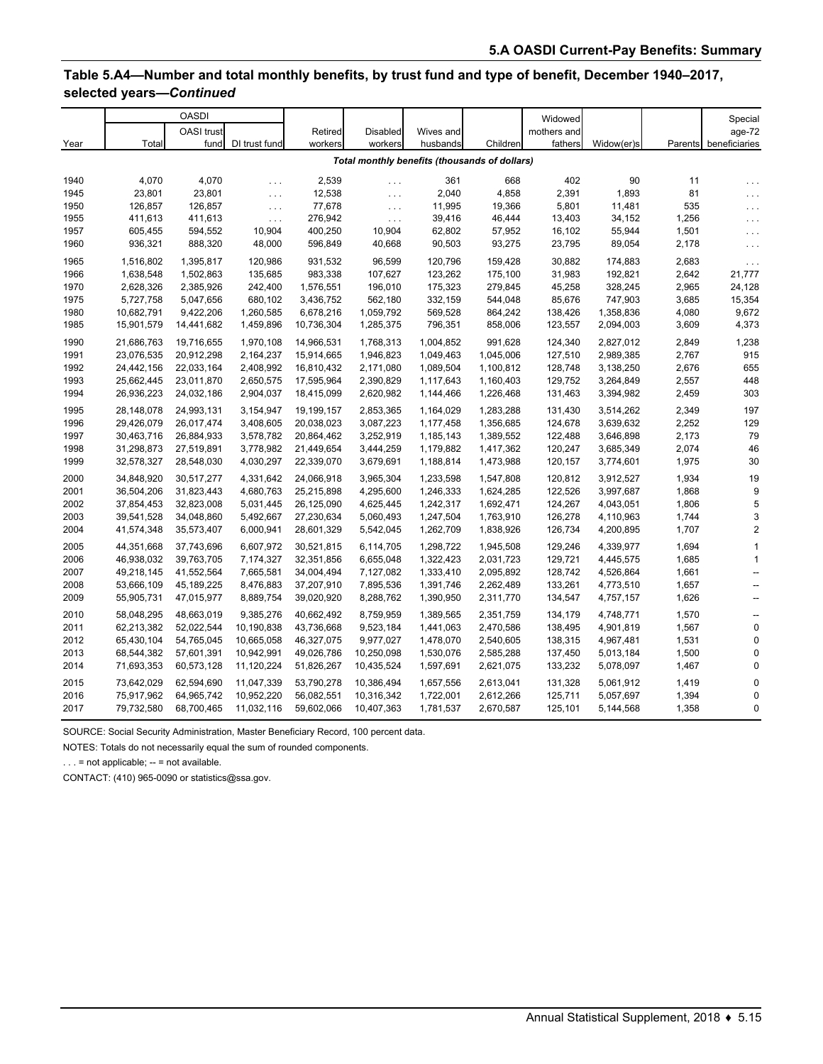## **Table 5.A4—Number and total monthly benefits, by trust fund and type of benefit, December 1940–2017, selected years—***Continued*

|      |            | <b>OASDI</b> |                      |            |                 |                                               |           | Widowed     |            |       | Special                  |
|------|------------|--------------|----------------------|------------|-----------------|-----------------------------------------------|-----------|-------------|------------|-------|--------------------------|
|      |            | OASI trust   |                      | Retired    | <b>Disabled</b> | Wives and                                     |           | mothers and |            |       | age-72                   |
| Year | Total      | fund         | DI trust fund        | workers    | workers         | husbands                                      | Children  | fathers     | Widow(er)s |       | Parents beneficiaries    |
|      |            |              |                      |            |                 | Total monthly benefits (thousands of dollars) |           |             |            |       |                          |
| 1940 | 4,070      | 4,070        | $\ldots$             | 2,539      | $\ldots$        | 361                                           | 668       | 402         | 90         | 11    | $\sim$ $\sim$ $\sim$     |
| 1945 | 23,801     | 23,801       | $\sim$ $\sim$ $\sim$ | 12,538     | $\ldots$        | 2,040                                         | 4,858     | 2,391       | 1,893      | 81    | .                        |
| 1950 | 126,857    | 126,857      | $\sim$ $\sim$ $\sim$ | 77,678     | $\ldots$        | 11,995                                        | 19,366    | 5,801       | 11,481     | 535   | .                        |
| 1955 | 411,613    | 411,613      | $\sim 10$ .          | 276,942    | $\ldots$        | 39,416                                        | 46,444    | 13,403      | 34,152     | 1,256 | $\cdots$                 |
| 1957 | 605,455    | 594,552      | 10,904               | 400,250    | 10,904          | 62,802                                        | 57,952    | 16,102      | 55,944     | 1,501 | $\cdots$                 |
| 1960 | 936,321    | 888,320      | 48,000               | 596,849    | 40,668          | 90,503                                        | 93,275    | 23,795      | 89,054     | 2,178 | $\ldots$                 |
| 1965 | 1,516,802  | 1,395,817    | 120,986              | 931,532    | 96,599          | 120,796                                       | 159,428   | 30,882      | 174,883    | 2,683 | $\ldots$                 |
| 1966 | 1,638,548  | 1,502,863    | 135,685              | 983,338    | 107,627         | 123,262                                       | 175,100   | 31,983      | 192,821    | 2,642 | 21,777                   |
| 1970 | 2,628,326  | 2,385,926    | 242,400              | 1,576,551  | 196,010         | 175,323                                       | 279,845   | 45,258      | 328,245    | 2,965 | 24,128                   |
| 1975 | 5,727,758  | 5,047,656    | 680,102              | 3,436,752  | 562,180         | 332,159                                       | 544,048   | 85,676      | 747,903    | 3,685 | 15,354                   |
| 1980 | 10,682,791 | 9,422,206    | 1,260,585            | 6,678,216  | 1,059,792       | 569,528                                       | 864,242   | 138,426     | 1,358,836  | 4,080 | 9,672                    |
| 1985 | 15,901,579 | 14,441,682   | 1,459,896            | 10,736,304 | 1,285,375       | 796,351                                       | 858,006   | 123,557     | 2,094,003  | 3,609 | 4,373                    |
| 1990 | 21,686,763 | 19,716,655   | 1,970,108            | 14,966,531 | 1,768,313       | 1,004,852                                     | 991,628   | 124,340     | 2,827,012  | 2,849 | 1,238                    |
| 1991 | 23,076,535 | 20,912,298   | 2,164,237            | 15,914,665 | 1,946,823       | 1,049,463                                     | 1,045,006 | 127,510     | 2,989,385  | 2,767 | 915                      |
| 1992 | 24,442,156 | 22,033,164   | 2,408,992            | 16,810,432 | 2,171,080       | 1,089,504                                     | 1,100,812 | 128,748     | 3,138,250  | 2,676 | 655                      |
| 1993 | 25,662,445 | 23,011,870   | 2,650,575            | 17,595,964 | 2,390,829       | 1,117,643                                     | 1,160,403 | 129,752     | 3,264,849  | 2,557 | 448                      |
| 1994 | 26,936,223 | 24,032,186   | 2,904,037            | 18,415,099 | 2,620,982       | 1,144,466                                     | 1,226,468 | 131,463     | 3,394,982  | 2,459 | 303                      |
| 1995 | 28,148,078 | 24,993,131   | 3,154,947            | 19,199,157 | 2,853,365       | 1,164,029                                     | 1,283,288 | 131,430     | 3,514,262  | 2,349 | 197                      |
| 1996 | 29,426,079 | 26,017,474   | 3,408,605            | 20,038,023 | 3,087,223       | 1,177,458                                     | 1,356,685 | 124,678     | 3,639,632  | 2,252 | 129                      |
| 1997 | 30,463,716 | 26,884,933   | 3,578,782            | 20,864,462 | 3,252,919       | 1,185,143                                     | 1,389,552 | 122,488     | 3,646,898  | 2,173 | 79                       |
| 1998 | 31,298,873 | 27,519,891   | 3,778,982            | 21,449,654 | 3,444,259       | 1,179,882                                     | 1,417,362 | 120,247     | 3,685,349  | 2,074 | 46                       |
| 1999 | 32,578,327 | 28,548,030   | 4,030,297            | 22,339,070 | 3,679,691       | 1,188,814                                     | 1,473,988 | 120,157     | 3,774,601  | 1,975 | 30                       |
| 2000 | 34,848,920 | 30,517,277   | 4,331,642            | 24,066,918 | 3,965,304       | 1,233,598                                     | 1,547,808 | 120,812     | 3,912,527  | 1,934 | 19                       |
| 2001 | 36,504,206 | 31,823,443   | 4,680,763            | 25,215,898 | 4,295,600       | 1,246,333                                     | 1,624,285 | 122.526     | 3,997,687  | 1,868 | 9                        |
| 2002 | 37,854,453 | 32,823,008   | 5,031,445            | 26,125,090 | 4,625,445       | 1,242,317                                     | 1,692,471 | 124,267     | 4,043,051  | 1,806 | 5                        |
| 2003 | 39,541,528 | 34,048,860   | 5,492,667            | 27,230,634 | 5,060,493       | 1,247,504                                     | 1,763,910 | 126,278     | 4,110,963  | 1,744 | 3                        |
| 2004 | 41,574,348 | 35,573,407   | 6,000,941            | 28,601,329 | 5,542,045       | 1,262,709                                     | 1,838,926 | 126,734     | 4,200,895  | 1,707 | 2                        |
| 2005 | 44,351,668 | 37,743,696   | 6,607,972            | 30,521,815 | 6,114,705       | 1,298,722                                     | 1,945,508 | 129,246     | 4,339,977  | 1,694 | $\mathbf{1}$             |
| 2006 | 46,938,032 | 39,763,705   | 7,174,327            | 32,351,856 | 6,655,048       | 1,322,423                                     | 2,031,723 | 129,721     | 4,445,575  | 1,685 | $\mathbf{1}$             |
| 2007 | 49,218,145 | 41,552,564   | 7,665,581            | 34,004,494 | 7,127,082       | 1,333,410                                     | 2,095,892 | 128,742     | 4,526,864  | 1,661 | $\overline{\phantom{a}}$ |
| 2008 | 53,666,109 | 45,189,225   | 8,476,883            | 37,207,910 | 7,895,536       | 1,391,746                                     | 2,262,489 | 133,261     | 4,773,510  | 1,657 | --                       |
| 2009 | 55,905,731 | 47,015,977   | 8,889,754            | 39,020,920 | 8,288,762       | 1,390,950                                     | 2,311,770 | 134,547     | 4,757,157  | 1,626 | $\overline{\phantom{a}}$ |
| 2010 | 58,048,295 | 48,663,019   | 9,385,276            | 40,662,492 | 8,759,959       | 1,389,565                                     | 2,351,759 | 134,179     | 4,748,771  | 1,570 | $\overline{\phantom{a}}$ |
| 2011 | 62,213,382 | 52,022,544   | 10,190,838           | 43,736,668 | 9,523,184       | 1,441,063                                     | 2,470,586 | 138,495     | 4,901,819  | 1,567 | $\mathbf 0$              |
| 2012 | 65,430,104 | 54,765,045   | 10,665,058           | 46,327,075 | 9,977,027       | 1,478,070                                     | 2,540,605 | 138,315     | 4,967,481  | 1,531 | $\mathbf 0$              |
| 2013 | 68,544,382 | 57,601,391   | 10,942,991           | 49,026,786 | 10,250,098      | 1,530,076                                     | 2,585,288 | 137,450     | 5,013,184  | 1,500 | 0                        |
| 2014 | 71,693,353 | 60,573,128   | 11,120,224           | 51,826,267 | 10,435,524      | 1,597,691                                     | 2,621,075 | 133,232     | 5,078,097  | 1,467 | $\mathbf{0}$             |
| 2015 | 73,642,029 | 62,594,690   | 11,047,339           | 53,790,278 | 10,386,494      | 1,657,556                                     | 2,613,041 | 131,328     | 5,061,912  | 1,419 | $\mathbf 0$              |
| 2016 | 75,917,962 | 64,965,742   | 10,952,220           | 56,082,551 | 10,316,342      | 1,722,001                                     | 2,612,266 | 125,711     | 5,057,697  | 1,394 | $\mathbf 0$              |
| 2017 | 79,732,580 | 68,700,465   | 11,032,116           | 59,602,066 | 10,407,363      | 1,781,537                                     | 2,670,587 | 125,101     | 5,144,568  | 1,358 | 0                        |

SOURCE: Social Security Administration, Master Beneficiary Record, 100 percent data.

NOTES: Totals do not necessarily equal the sum of rounded components.

 $\ldots$  = not applicable;  $\ldots$  = not available.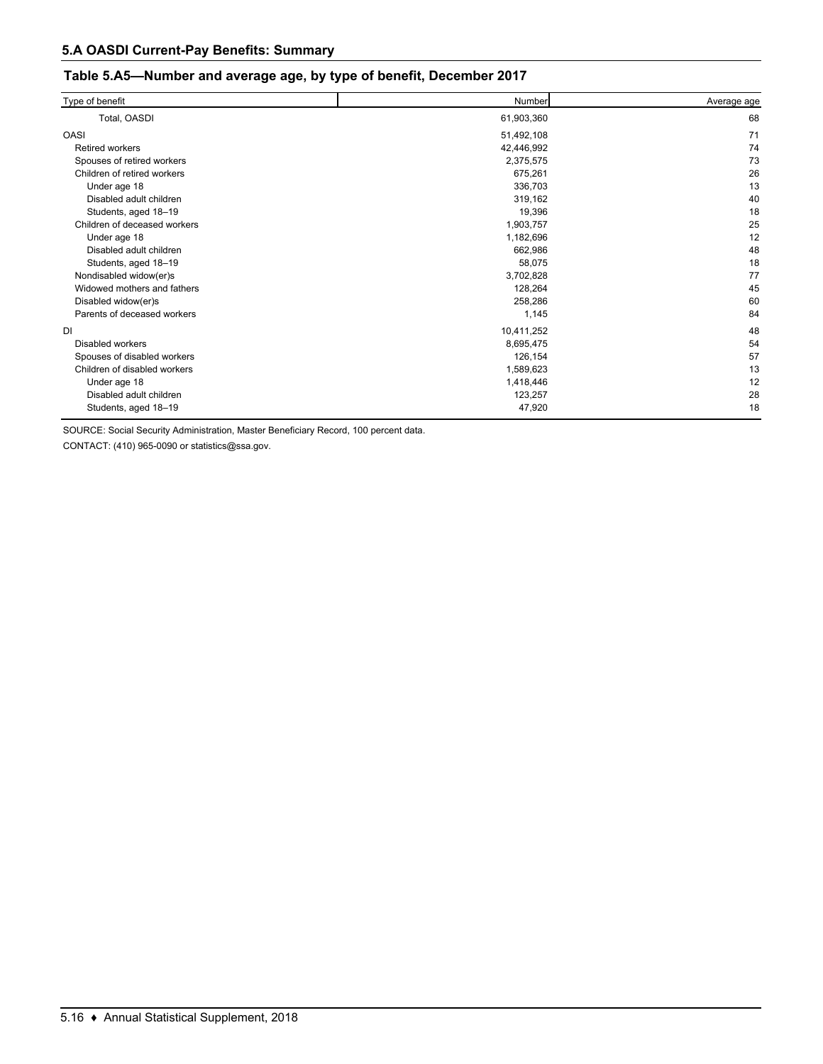#### **Table 5.A5—Number and average age, by type of benefit, December 2017**

| Type of benefit              | Number     | Average age |
|------------------------------|------------|-------------|
| Total, OASDI                 | 61,903,360 | 68          |
| <b>OASI</b>                  | 51,492,108 | 71          |
| <b>Retired workers</b>       | 42,446,992 | 74          |
| Spouses of retired workers   | 2,375,575  | 73          |
| Children of retired workers  | 675,261    | 26          |
| Under age 18                 | 336,703    | 13          |
| Disabled adult children      | 319,162    | 40          |
| Students, aged 18-19         | 19,396     | 18          |
| Children of deceased workers | 1,903,757  | 25          |
| Under age 18                 | 1,182,696  | 12          |
| Disabled adult children      | 662,986    | 48          |
| Students, aged 18-19         | 58,075     | 18          |
| Nondisabled widow(er)s       | 3,702,828  | 77          |
| Widowed mothers and fathers  | 128,264    | 45          |
| Disabled widow(er)s          | 258,286    | 60          |
| Parents of deceased workers  | 1,145      | 84          |
| <b>DI</b>                    | 10,411,252 | 48          |
| Disabled workers             | 8,695,475  | 54          |
| Spouses of disabled workers  | 126,154    | 57          |
| Children of disabled workers | 1,589,623  | 13          |
| Under age 18                 | 1,418,446  | 12          |
| Disabled adult children      | 123,257    | 28          |
| Students, aged 18-19         | 47,920     | 18          |

SOURCE: Social Security Administration, Master Beneficiary Record, 100 percent data.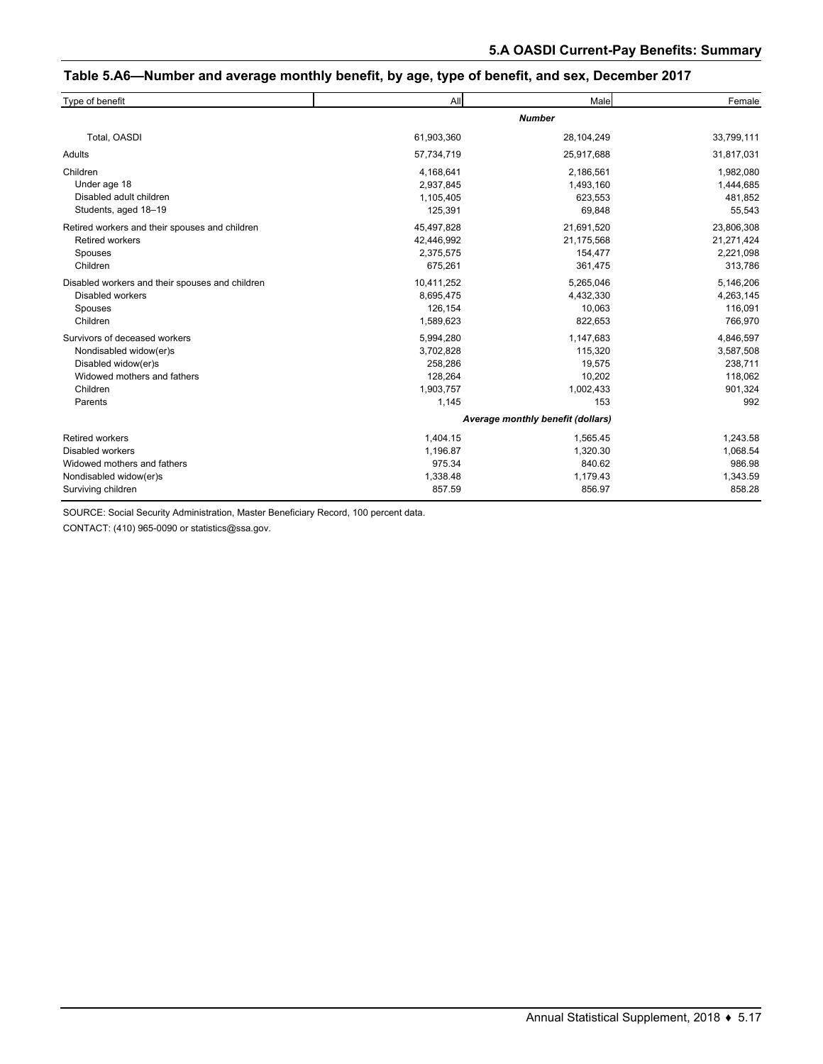#### **Table 5.A6—Number and average monthly benefit, by age, type of benefit, and sex, December 2017**

| Type of benefit                                 | All                               | Male          | Female     |  |  |  |  |
|-------------------------------------------------|-----------------------------------|---------------|------------|--|--|--|--|
|                                                 |                                   | <b>Number</b> |            |  |  |  |  |
| Total, OASDI                                    | 61,903,360                        | 28,104,249    | 33,799,111 |  |  |  |  |
| Adults                                          | 57,734,719                        | 25,917,688    | 31,817,031 |  |  |  |  |
| Children                                        | 4,168,641                         | 2,186,561     | 1,982,080  |  |  |  |  |
| Under age 18                                    | 2,937,845                         | 1,493,160     | 1,444,685  |  |  |  |  |
| Disabled adult children                         | 1,105,405                         | 623,553       | 481,852    |  |  |  |  |
| Students, aged 18-19                            | 125,391                           | 69,848        | 55,543     |  |  |  |  |
| Retired workers and their spouses and children  | 45,497,828                        | 21,691,520    | 23,806,308 |  |  |  |  |
| <b>Retired workers</b>                          | 42,446,992                        | 21,175,568    | 21,271,424 |  |  |  |  |
| Spouses                                         | 2,375,575                         | 154,477       | 2,221,098  |  |  |  |  |
| Children                                        | 675,261                           | 361,475       | 313,786    |  |  |  |  |
| Disabled workers and their spouses and children | 10,411,252                        | 5,265,046     | 5,146,206  |  |  |  |  |
| <b>Disabled workers</b>                         | 8,695,475                         | 4,432,330     | 4,263,145  |  |  |  |  |
| Spouses                                         | 126,154                           | 10,063        | 116,091    |  |  |  |  |
| Children                                        | 1,589,623                         | 822,653       | 766,970    |  |  |  |  |
| Survivors of deceased workers                   | 5,994,280                         | 1,147,683     | 4,846,597  |  |  |  |  |
| Nondisabled widow(er)s                          | 3,702,828                         | 115,320       | 3,587,508  |  |  |  |  |
| Disabled widow(er)s                             | 258,286                           | 19,575        | 238,711    |  |  |  |  |
| Widowed mothers and fathers                     | 128,264                           | 10,202        | 118,062    |  |  |  |  |
| Children                                        | 1,903,757                         | 1,002,433     | 901,324    |  |  |  |  |
| Parents                                         | 1,145                             | 153           | 992        |  |  |  |  |
|                                                 | Average monthly benefit (dollars) |               |            |  |  |  |  |
| <b>Retired workers</b>                          | 1,404.15                          | 1,565.45      | 1,243.58   |  |  |  |  |
| Disabled workers                                | 1,196.87                          | 1,320.30      | 1,068.54   |  |  |  |  |
| Widowed mothers and fathers                     | 975.34                            | 840.62        | 986.98     |  |  |  |  |
| Nondisabled widow(er)s                          | 1,338.48                          | 1,179.43      | 1,343.59   |  |  |  |  |
| Surviving children                              | 857.59                            | 856.97        | 858.28     |  |  |  |  |

SOURCE: Social Security Administration, Master Beneficiary Record, 100 percent data.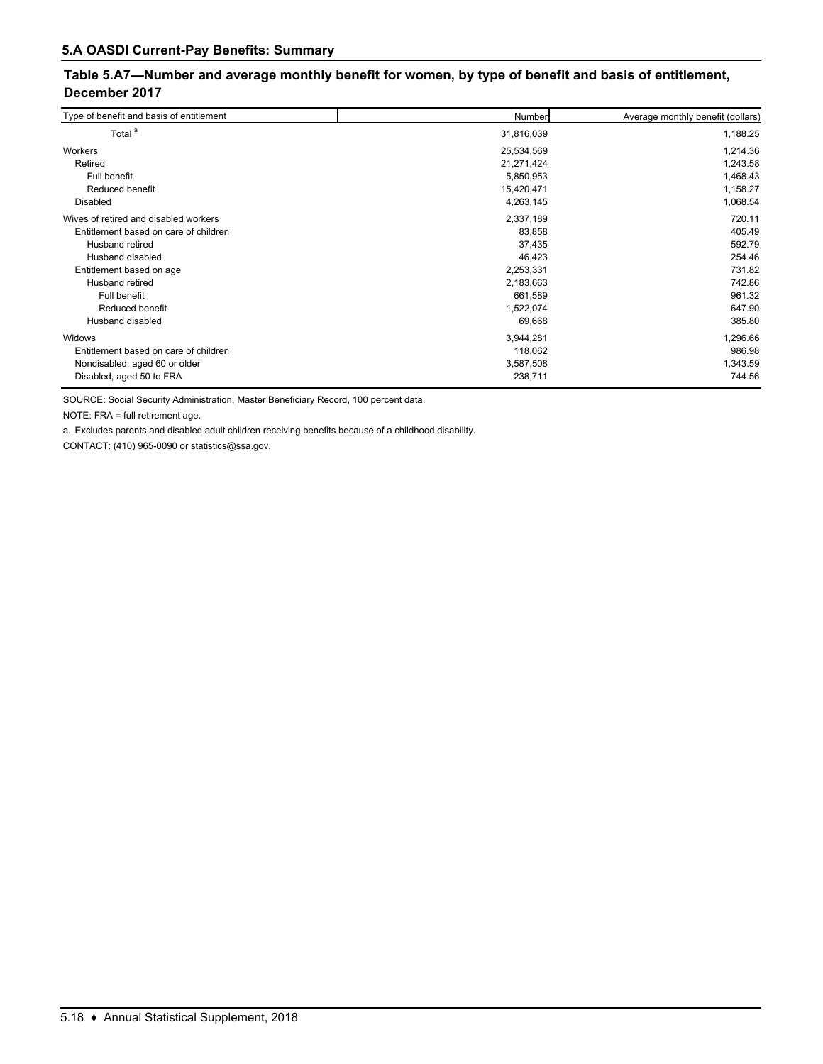## **Table 5.A7—Number and average monthly benefit for women, by type of benefit and basis of entitlement, December 2017**

| Type of benefit and basis of entitlement | Number     | Average monthly benefit (dollars) |
|------------------------------------------|------------|-----------------------------------|
| Total <sup>a</sup>                       | 31,816,039 | 1,188.25                          |
| Workers                                  | 25,534,569 | 1,214.36                          |
| Retired                                  | 21,271,424 | 1,243.58                          |
| Full benefit                             | 5,850,953  | 1,468.43                          |
| Reduced benefit                          | 15,420,471 | 1,158.27                          |
| Disabled                                 | 4,263,145  | 1,068.54                          |
| Wives of retired and disabled workers    | 2,337,189  | 720.11                            |
| Entitlement based on care of children    | 83,858     | 405.49                            |
| Husband retired                          | 37,435     | 592.79                            |
| Husband disabled                         | 46,423     | 254.46                            |
| Entitlement based on age                 | 2,253,331  | 731.82                            |
| Husband retired                          | 2,183,663  | 742.86                            |
| Full benefit                             | 661,589    | 961.32                            |
| Reduced benefit                          | 1,522,074  | 647.90                            |
| Husband disabled                         | 69,668     | 385.80                            |
| Widows                                   | 3,944,281  | 1,296.66                          |
| Entitlement based on care of children    | 118,062    | 986.98                            |
| Nondisabled, aged 60 or older            | 3,587,508  | 1,343.59                          |
| Disabled, aged 50 to FRA                 | 238,711    | 744.56                            |

SOURCE: Social Security Administration, Master Beneficiary Record, 100 percent data.

NOTE: FRA = full retirement age.

a. Excludes parents and disabled adult children receiving benefits because of a childhood disability.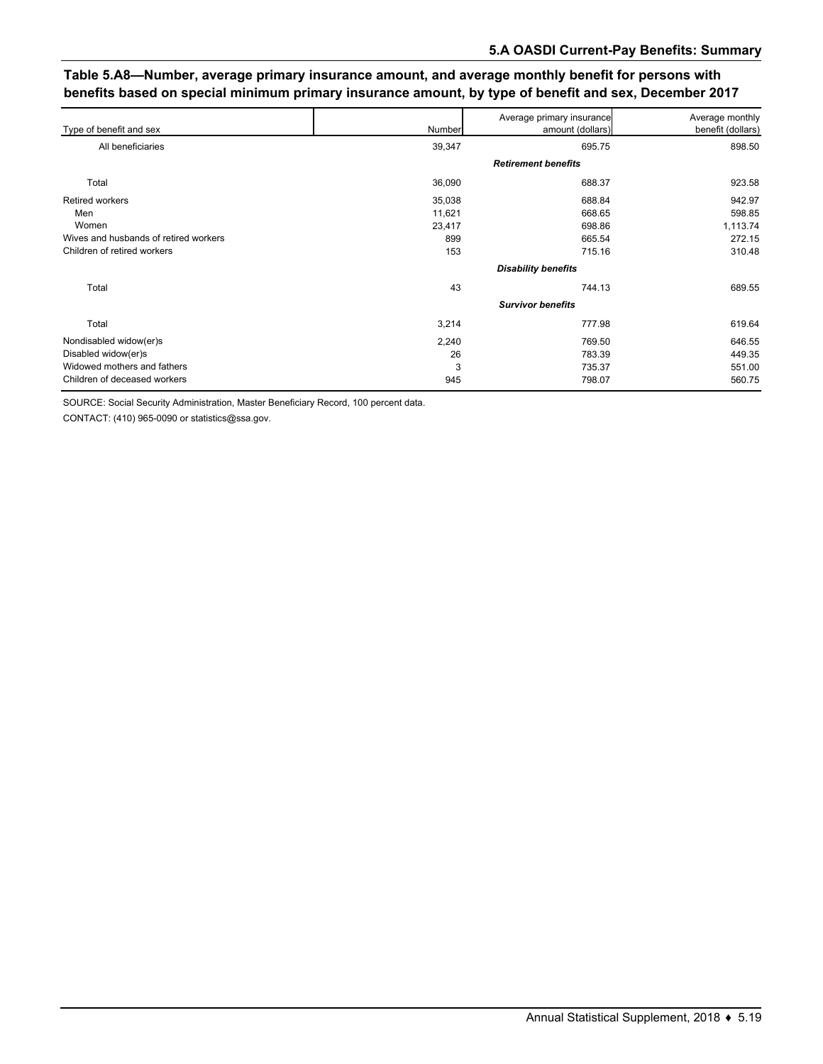## **Table 5.A8—Number, average primary insurance amount, and average monthly benefit for persons with benefits based on special minimum primary insurance amount, by type of benefit and sex, December 2017**

| Type of benefit and sex               | Number                     | Average primary insurance<br>amount (dollars) | Average monthly<br>benefit (dollars) |  |  |  |  |  |
|---------------------------------------|----------------------------|-----------------------------------------------|--------------------------------------|--|--|--|--|--|
| All beneficiaries                     | 39,347                     | 695.75                                        | 898.50                               |  |  |  |  |  |
|                                       | <b>Retirement benefits</b> |                                               |                                      |  |  |  |  |  |
| Total                                 | 36,090                     | 688.37                                        | 923.58                               |  |  |  |  |  |
| <b>Retired workers</b>                | 35,038                     | 688.84                                        | 942.97                               |  |  |  |  |  |
| Men                                   | 11,621                     | 668.65                                        | 598.85                               |  |  |  |  |  |
| Women                                 | 23,417                     | 698.86                                        | 1,113.74                             |  |  |  |  |  |
| Wives and husbands of retired workers | 899                        | 665.54                                        | 272.15                               |  |  |  |  |  |
| Children of retired workers           | 153                        | 715.16                                        | 310.48                               |  |  |  |  |  |
|                                       | <b>Disability benefits</b> |                                               |                                      |  |  |  |  |  |
| Total                                 | 43                         | 744.13                                        | 689.55                               |  |  |  |  |  |
|                                       | <b>Survivor benefits</b>   |                                               |                                      |  |  |  |  |  |
| Total                                 | 3,214                      | 777.98                                        | 619.64                               |  |  |  |  |  |
| Nondisabled widow(er)s                | 2,240                      | 769.50                                        | 646.55                               |  |  |  |  |  |
| Disabled widow(er)s                   | 26                         | 783.39                                        | 449.35                               |  |  |  |  |  |
| Widowed mothers and fathers           | 3                          | 735.37                                        | 551.00                               |  |  |  |  |  |
| Children of deceased workers          | 945                        | 798.07                                        | 560.75                               |  |  |  |  |  |

SOURCE: Social Security Administration, Master Beneficiary Record, 100 percent data.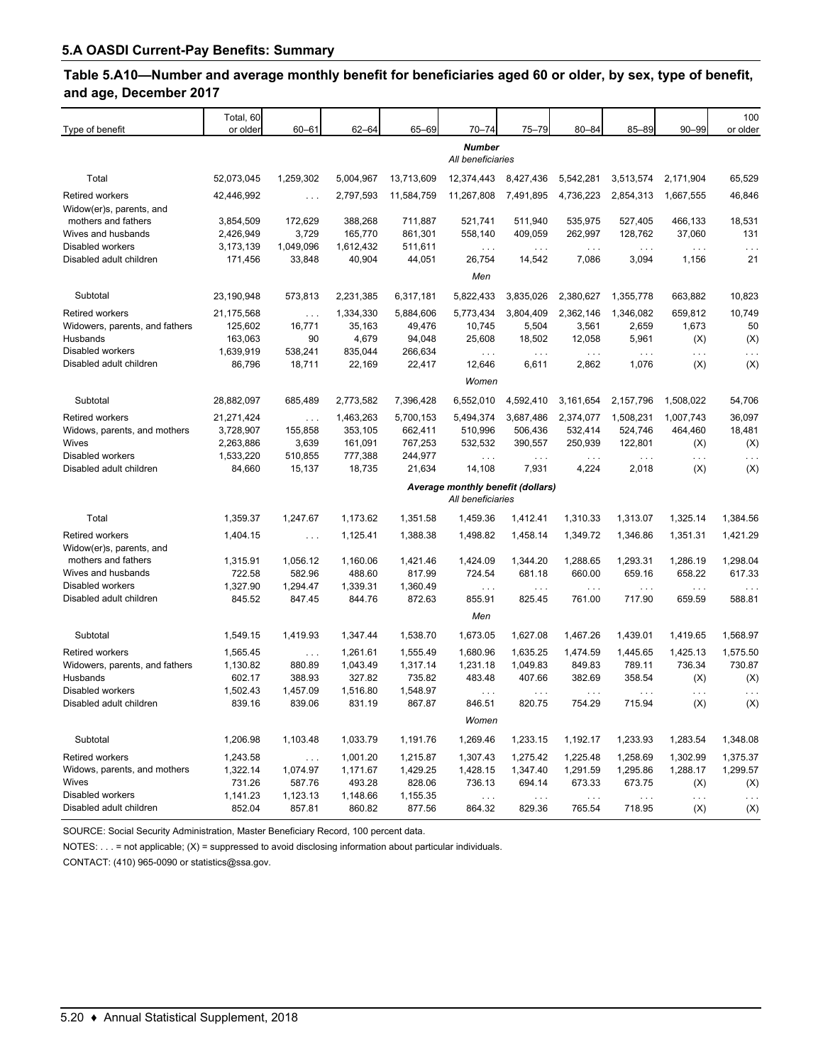## **Table 5.A10—Number and average monthly benefit for beneficiaries aged 60 or older, by sex, type of benefit, and age, December 2017**

| Type of benefit                             | Total, 60<br>or older  | $60 - 61$            | 62-64              | 65-69              | $70 - 74$                                              | $75 - 79$                      | $80 - 84$                      | 85-89                | $90 - 99$         | 100<br>or older      |
|---------------------------------------------|------------------------|----------------------|--------------------|--------------------|--------------------------------------------------------|--------------------------------|--------------------------------|----------------------|-------------------|----------------------|
|                                             |                        |                      |                    |                    | <b>Number</b><br>All beneficiaries                     |                                |                                |                      |                   |                      |
| Total                                       | 52,073,045             | 1,259,302            | 5,004,967          | 13,713,609         | 12,374,443                                             | 8,427,436                      | 5,542,281                      | 3,513,574            | 2,171,904         | 65,529               |
| <b>Retired workers</b>                      | 42,446,992             | $\ldots$             | 2,797,593          | 11,584,759         | 11,267,808                                             | 7,491,895                      | 4,736,223                      | 2,854,313            | 1,667,555         | 46,846               |
| Widow(er)s, parents, and                    |                        |                      |                    |                    |                                                        |                                |                                |                      |                   |                      |
| mothers and fathers<br>Wives and husbands   | 3,854,509<br>2,426,949 | 172,629<br>3,729     | 388,268<br>165,770 | 711,887<br>861,301 | 521,741<br>558,140                                     | 511,940<br>409,059             | 535,975<br>262,997             | 527,405<br>128,762   | 466,133<br>37,060 | 18,531<br>131        |
| Disabled workers                            | 3,173,139              | 1,049,096            | 1,612,432          | 511,611            | $\sim$ $\sim$ $\sim$                                   | $\cdots$                       | $\cdots$                       | $\cdots$             | $\ldots$          | $\cdots$             |
| Disabled adult children                     | 171,456                | 33,848               | 40,904             | 44,051             | 26,754                                                 | 14,542                         | 7,086                          | 3,094                | 1,156             | 21                   |
|                                             |                        |                      |                    |                    | Men                                                    |                                |                                |                      |                   |                      |
| Subtotal                                    | 23,190,948             | 573,813              | 2,231,385          | 6,317,181          | 5,822,433                                              | 3,835,026                      | 2,380,627                      | 1,355,778            | 663,882           | 10,823               |
| <b>Retired workers</b>                      | 21,175,568             | $\cdots$             | 1,334,330          | 5,884,606          | 5,773,434                                              | 3,804,409                      | 2,362,146                      | 1,346,082            | 659,812           | 10,749               |
| Widowers, parents, and fathers              | 125,602                | 16,771               | 35,163             | 49,476             | 10,745                                                 | 5,504                          | 3,561                          | 2,659                | 1,673             | 50                   |
| Husbands                                    | 163,063                | 90                   | 4,679              | 94,048             | 25,608                                                 | 18,502                         | 12,058                         | 5,961                | (X)               | (X)                  |
| Disabled workers                            | 1,639,919              | 538,241              | 835,044            | 266,634            | $\sim 100$                                             | $\cdots$                       | $\cdots$                       | $\cdots$             | $\ldots$          | .                    |
| Disabled adult children                     | 86,796                 | 18,711               | 22,169             | 22,417             | 12,646                                                 | 6,611                          | 2,862                          | 1,076                | (X)               | (X)                  |
|                                             |                        |                      |                    |                    | Women                                                  |                                |                                |                      |                   |                      |
| Subtotal                                    | 28,882,097             | 685,489              | 2,773,582          | 7,396,428          | 6,552,010                                              | 4,592,410                      | 3,161,654                      | 2,157,796            | 1,508,022         | 54,706               |
| <b>Retired workers</b>                      | 21,271,424             | $\sim$ $\sim$ $\sim$ | 1,463,263          | 5,700,153          | 5,494,374                                              | 3,687,486                      | 2,374,077                      | 1,508,231            | 1,007,743         | 36,097               |
| Widows, parents, and mothers                | 3,728,907              | 155,858              | 353,105            | 662,411            | 510,996                                                | 506,436                        | 532,414                        | 524,746              | 464,460           | 18,481               |
| Wives                                       | 2,263,886              | 3,639                | 161,091            | 767,253            | 532,532                                                | 390,557                        | 250,939                        | 122,801              | (X)               | (X)                  |
| Disabled workers                            | 1,533,220              | 510,855              | 777,388            | 244,977            | $\sim$ $\sim$ $\sim$                                   | $\ldots$                       | $\cdots$                       | $\sim$ $\sim$ $\sim$ | .                 | .                    |
| Disabled adult children                     | 84,660                 | 15,137               | 18,735             | 21,634             | 14,108                                                 | 7,931                          | 4,224                          | 2,018                | (X)               | (X)                  |
|                                             |                        |                      |                    |                    | Average monthly benefit (dollars)<br>All beneficiaries |                                |                                |                      |                   |                      |
| Total                                       | 1,359.37               | 1,247.67             | 1,173.62           | 1,351.58           | 1,459.36                                               | 1,412.41                       | 1,310.33                       | 1,313.07             | 1,325.14          | 1,384.56             |
| <b>Retired workers</b>                      | 1,404.15               | $\sim$ $\sim$ $\sim$ | 1,125.41           | 1,388.38           | 1,498.82                                               | 1,458.14                       | 1,349.72                       | 1,346.86             | 1,351.31          | 1,421.29             |
| Widow(er)s, parents, and                    |                        |                      |                    |                    |                                                        |                                |                                |                      |                   |                      |
| mothers and fathers                         | 1,315.91               | 1,056.12             | 1,160.06           | 1,421.46           | 1,424.09                                               | 1,344.20                       | 1,288.65                       | 1,293.31             | 1,286.19          | 1,298.04             |
| Wives and husbands                          | 722.58                 | 582.96               | 488.60             | 817.99             | 724.54                                                 | 681.18                         | 660.00                         | 659.16               | 658.22            | 617.33               |
| Disabled workers                            | 1,327.90               | 1,294.47             | 1,339.31           | 1,360.49           | $\sim$ $\sim$ $\sim$                                   | $\sim$ $\sim$ $\sim$           | $\sim$ $\sim$ $\sim$           | $\cdots$             | $\ldots$          | $\sim$ $\sim$ $\sim$ |
| Disabled adult children                     | 845.52                 | 847.45               | 844.76             | 872.63             | 855.91                                                 | 825.45                         | 761.00                         | 717.90               | 659.59            | 588.81               |
|                                             |                        |                      |                    |                    | Men                                                    |                                |                                |                      |                   |                      |
| Subtotal                                    | 1,549.15               | 1,419.93             | 1,347.44           | 1,538.70           | 1,673.05                                               | 1,627.08                       | 1,467.26                       | 1,439.01             | 1,419.65          | 1,568.97             |
| <b>Retired workers</b>                      | 1,565.45               | $\sim$ $\sim$ $\sim$ | 1,261.61           | 1,555.49           | 1,680.96                                               | 1,635.25                       | 1,474.59                       | 1,445.65             | 1,425.13          | 1,575.50             |
| Widowers, parents, and fathers              | 1,130.82               | 880.89               | 1,043.49           | 1,317.14           | 1,231.18                                               | 1,049.83                       | 849.83                         | 789.11               | 736.34            | 730.87               |
| Husbands                                    | 602.17                 | 388.93               | 327.82             | 735.82             | 483.48                                                 | 407.66                         | 382.69                         | 358.54               | (X)               | (X)                  |
| <b>Disabled workers</b>                     | 1,502.43               | 1,457.09             | 1,516.80           | 1,548.97           | $\cdots$                                               | $\ldots$                       | $\cdots$                       | $\cdots$             | $\ldots$          | $\cdots$             |
| Disabled adult children                     | 839.16                 | 839.06               | 831.19             | 867.87             | 846.51                                                 | 820.75                         | 754.29                         | 715.94               | (X)               | $(\mathsf{X})$       |
|                                             |                        |                      |                    |                    | Women                                                  |                                |                                |                      |                   |                      |
| Subtotal                                    | 1,206.98               | 1,103.48             | 1,033.79           | 1,191.76           | 1,269.46                                               | 1,233.15                       | 1,192.17                       | 1,233.93             | 1,283.54          | 1,348.08             |
| Retired workers                             | 1,243.58               | $\sim$ $\sim$        | 1,001.20           | 1,215.87           | 1,307.43                                               | 1,275.42                       | 1,225.48                       | 1,258.69             | 1,302.99          | 1,375.37             |
| Widows, parents, and mothers                | 1,322.14               | 1,074.97             | 1,171.67           | 1,429.25           | 1,428.15                                               | 1,347.40                       | 1,291.59                       | 1,295.86             | 1,288.17          | 1,299.57             |
| Wives                                       | 731.26                 | 587.76               | 493.28             | 828.06             | 736.13                                                 | 694.14                         | 673.33                         | 673.75               | (X)               | (X)                  |
| Disabled workers<br>Disabled adult children | 1,141.23<br>852.04     | 1,123.13<br>857.81   | 1,148.66<br>860.82 | 1,155.35<br>877.56 | $\sim$ $\sim$ $\sim$<br>864.32                         | $\sim$ $\sim$ $\sim$<br>829.36 | $\sim$ $\sim$ $\sim$<br>765.54 | $\cdots$<br>718.95   | $\cdots$<br>(X)   | $\cdots$             |
|                                             |                        |                      |                    |                    |                                                        |                                |                                |                      |                   | (X)                  |

SOURCE: Social Security Administration, Master Beneficiary Record, 100 percent data.

NOTES:  $\dots$  = not applicable;  $(X)$  = suppressed to avoid disclosing information about particular individuals.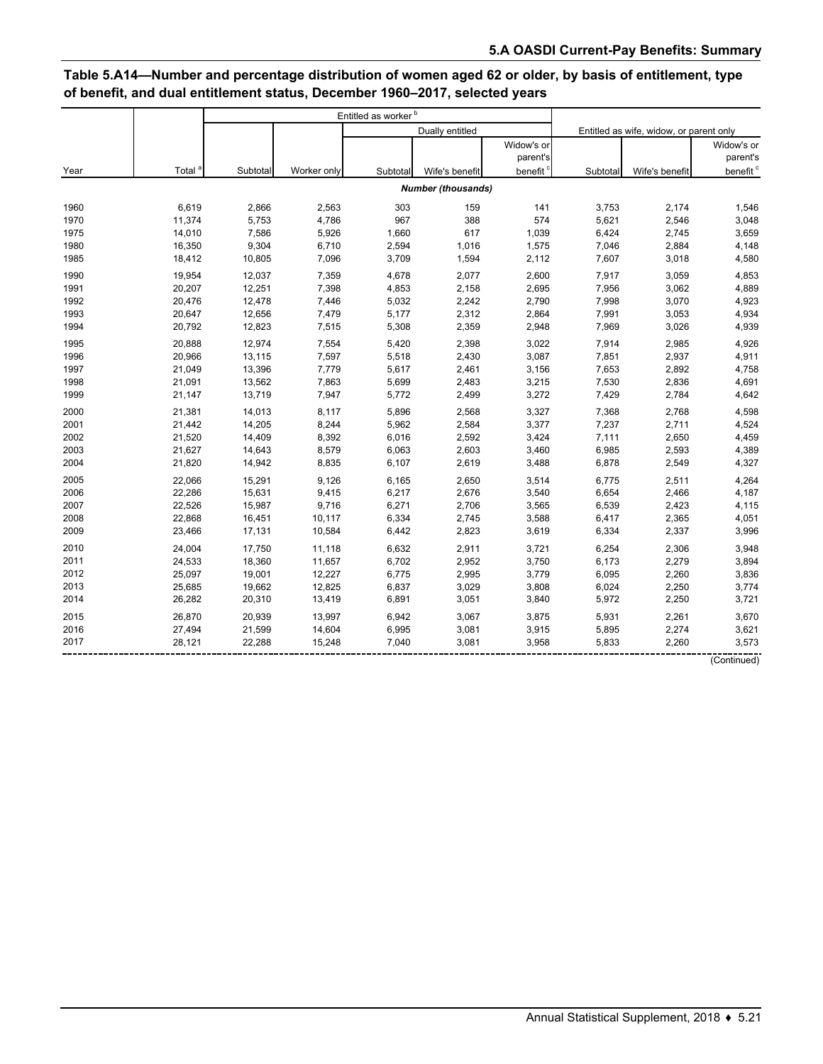# **Table 5.A14—Number and percentage distribution of women aged 62 or older, by basis of entitlement, type of benefit, and dual entitlement status, December 1960–2017, selected years**

|      |                    |          |             | Entitled as worker <sup>b</sup> |                           |            |          |                                         |                      |
|------|--------------------|----------|-------------|---------------------------------|---------------------------|------------|----------|-----------------------------------------|----------------------|
|      |                    |          |             |                                 | Dually entitled           |            |          | Entitled as wife, widow, or parent only |                      |
|      |                    |          |             |                                 |                           | Widow's or |          |                                         | Widow's or           |
|      |                    |          |             |                                 |                           | parent's   |          |                                         | parent's             |
| Year | Total <sup>8</sup> | Subtotal | Worker only | Subtotal                        | Wife's benefit            | benefit    | Subtotal | Wife's benefit                          | benefit <sup>c</sup> |
|      |                    |          |             |                                 | <b>Number (thousands)</b> |            |          |                                         |                      |
| 1960 | 6,619              | 2,866    | 2,563       | 303                             | 159                       | 141        | 3,753    | 2,174                                   | 1,546                |
| 1970 | 11,374             | 5,753    | 4,786       | 967                             | 388                       | 574        | 5,621    | 2,546                                   | 3,048                |
| 1975 | 14,010             | 7,586    | 5,926       | 1,660                           | 617                       | 1,039      | 6,424    | 2,745                                   | 3,659                |
| 1980 | 16,350             | 9,304    | 6,710       | 2,594                           | 1,016                     | 1,575      | 7,046    | 2,884                                   | 4,148                |
| 1985 | 18,412             | 10,805   | 7,096       | 3,709                           | 1,594                     | 2,112      | 7,607    | 3,018                                   | 4,580                |
| 1990 | 19,954             | 12,037   | 7,359       | 4,678                           | 2,077                     | 2,600      | 7,917    | 3,059                                   | 4,853                |
| 1991 | 20,207             | 12,251   | 7,398       | 4,853                           | 2,158                     | 2,695      | 7,956    | 3,062                                   | 4,889                |
| 1992 | 20,476             | 12,478   | 7,446       | 5,032                           | 2,242                     | 2,790      | 7,998    | 3,070                                   | 4,923                |
| 1993 | 20,647             | 12,656   | 7,479       | 5,177                           | 2,312                     | 2,864      | 7,991    | 3,053                                   | 4,934                |
| 1994 | 20,792             | 12,823   | 7,515       | 5,308                           | 2,359                     | 2,948      | 7,969    | 3,026                                   | 4,939                |
| 1995 | 20,888             | 12,974   | 7,554       | 5,420                           | 2,398                     | 3,022      | 7,914    | 2,985                                   | 4,926                |
| 1996 | 20,966             | 13,115   | 7,597       | 5,518                           | 2,430                     | 3,087      | 7,851    | 2,937                                   | 4,911                |
| 1997 | 21,049             | 13,396   | 7,779       | 5,617                           | 2,461                     | 3,156      | 7,653    | 2,892                                   | 4,758                |
| 1998 | 21,091             | 13,562   | 7,863       | 5,699                           | 2,483                     | 3,215      | 7,530    | 2,836                                   | 4,691                |
| 1999 | 21,147             | 13,719   | 7,947       | 5,772                           | 2,499                     | 3,272      | 7,429    | 2,784                                   | 4,642                |
| 2000 | 21,381             | 14,013   | 8,117       | 5,896                           | 2,568                     | 3,327      | 7,368    | 2,768                                   | 4,598                |
| 2001 | 21,442             | 14,205   | 8,244       | 5,962                           | 2,584                     | 3,377      | 7,237    | 2,711                                   | 4,524                |
| 2002 | 21,520             | 14,409   | 8,392       | 6,016                           | 2,592                     | 3,424      | 7,111    | 2,650                                   | 4,459                |
| 2003 | 21,627             | 14,643   | 8,579       | 6,063                           | 2,603                     | 3,460      | 6,985    | 2,593                                   | 4,389                |
| 2004 | 21,820             | 14,942   | 8,835       | 6,107                           | 2,619                     | 3,488      | 6,878    | 2,549                                   | 4,327                |
| 2005 | 22,066             | 15,291   | 9,126       | 6,165                           | 2,650                     | 3,514      | 6,775    | 2,511                                   | 4,264                |
| 2006 | 22,286             | 15,631   | 9,415       | 6,217                           | 2,676                     | 3,540      | 6,654    | 2,466                                   | 4,187                |
| 2007 | 22,526             | 15,987   | 9,716       | 6,271                           | 2,706                     | 3,565      | 6,539    | 2,423                                   | 4,115                |
| 2008 | 22,868             | 16,451   | 10,117      | 6,334                           | 2,745                     | 3,588      | 6,417    | 2,365                                   | 4,051                |
| 2009 | 23,466             | 17,131   | 10,584      | 6,442                           | 2,823                     | 3,619      | 6,334    | 2,337                                   | 3,996                |
| 2010 | 24,004             | 17,750   | 11,118      | 6,632                           | 2,911                     | 3,721      | 6,254    | 2,306                                   | 3,948                |
| 2011 | 24,533             | 18,360   | 11,657      | 6,702                           | 2,952                     | 3,750      | 6,173    | 2,279                                   | 3,894                |
| 2012 | 25,097             | 19,001   | 12,227      | 6,775                           | 2,995                     | 3,779      | 6,095    | 2,260                                   | 3,836                |
| 2013 | 25,685             | 19,662   | 12,825      | 6,837                           | 3,029                     | 3,808      | 6,024    | 2,250                                   | 3,774                |
| 2014 | 26,282             | 20,310   | 13,419      | 6,891                           | 3,051                     | 3,840      | 5,972    | 2,250                                   | 3,721                |
| 2015 | 26,870             | 20,939   | 13,997      | 6,942                           | 3,067                     | 3,875      | 5,931    | 2,261                                   | 3,670                |
| 2016 | 27,494             | 21,599   | 14,604      | 6,995                           | 3,081                     | 3,915      | 5,895    | 2,274                                   | 3,621                |
| 2017 | 28,121             | 22,288   | 15,248      | 7,040                           | 3,081                     | 3,958      | 5,833    | 2,260                                   | 3,573                |
|      |                    |          |             |                                 |                           |            |          |                                         | (Continued)          |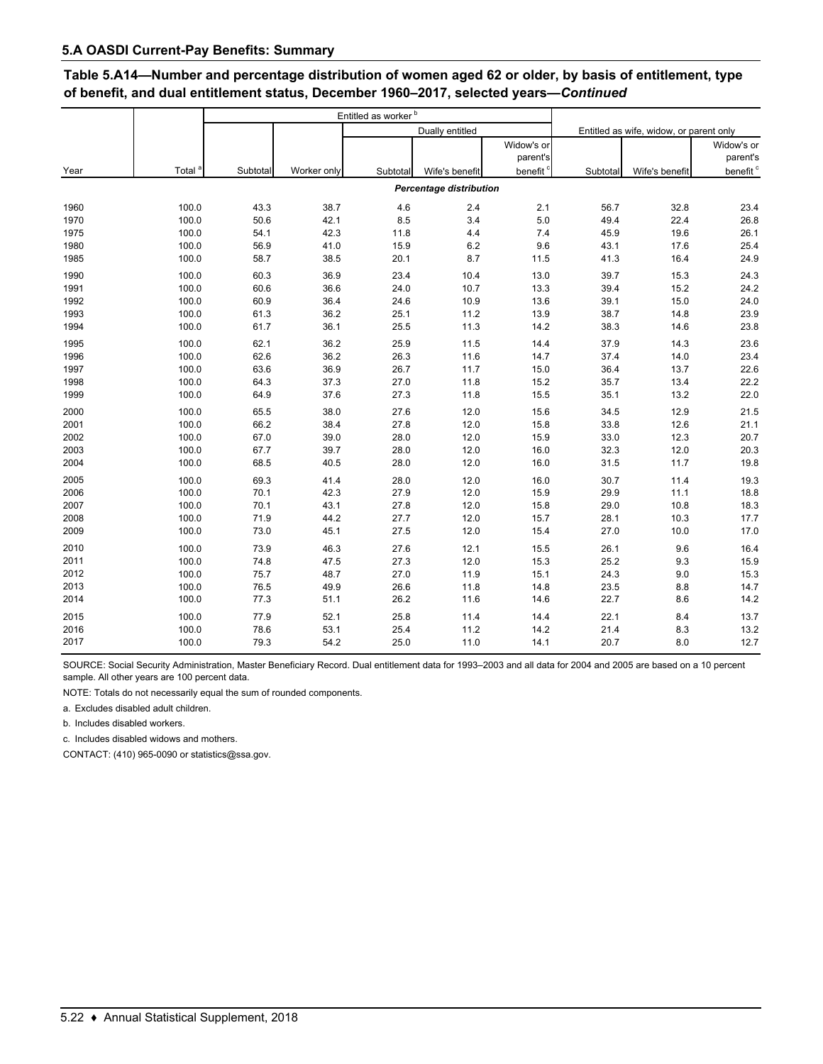## **Table 5.A14—Number and percentage distribution of women aged 62 or older, by basis of entitlement, type of benefit, and dual entitlement status, December 1960–2017, selected years—***Continued*

|      |                    |          |             | Entitled as worker <sup>b</sup> |                         |            |          |                                         |                      |
|------|--------------------|----------|-------------|---------------------------------|-------------------------|------------|----------|-----------------------------------------|----------------------|
|      |                    |          |             |                                 | Dually entitled         |            |          | Entitled as wife, widow, or parent only |                      |
|      |                    |          |             |                                 |                         | Widow's or |          |                                         | Widow's or           |
|      |                    |          |             |                                 |                         | parent's   |          |                                         | parent's             |
| Year | Total <sup>a</sup> | Subtotal | Worker only | Subtotal                        | Wife's benefit          | benefit    | Subtotal | Wife's benefit                          | benefit <sup>c</sup> |
|      |                    |          |             |                                 | Percentage distribution |            |          |                                         |                      |
| 1960 | 100.0              | 43.3     | 38.7        | 4.6                             | 2.4                     | 2.1        | 56.7     | 32.8                                    | 23.4                 |
| 1970 | 100.0              | 50.6     | 42.1        | 8.5                             | 3.4                     | 5.0        | 49.4     | 22.4                                    | 26.8                 |
| 1975 | 100.0              | 54.1     | 42.3        | 11.8                            | 4.4                     | 7.4        | 45.9     | 19.6                                    | 26.1                 |
| 1980 | 100.0              | 56.9     | 41.0        | 15.9                            | 6.2                     | 9.6        | 43.1     | 17.6                                    | 25.4                 |
| 1985 | 100.0              | 58.7     | 38.5        | 20.1                            | 8.7                     | 11.5       | 41.3     | 16.4                                    | 24.9                 |
| 1990 | 100.0              | 60.3     | 36.9        | 23.4                            | 10.4                    | 13.0       | 39.7     | 15.3                                    | 24.3                 |
| 1991 | 100.0              | 60.6     | 36.6        | 24.0                            | 10.7                    | 13.3       | 39.4     | 15.2                                    | 24.2                 |
| 1992 | 100.0              | 60.9     | 36.4        | 24.6                            | 10.9                    | 13.6       | 39.1     | 15.0                                    | 24.0                 |
| 1993 | 100.0              | 61.3     | 36.2        | 25.1                            | 11.2                    | 13.9       | 38.7     | 14.8                                    | 23.9                 |
| 1994 | 100.0              | 61.7     | 36.1        | 25.5                            | 11.3                    | 14.2       | 38.3     | 14.6                                    | 23.8                 |
| 1995 | 100.0              | 62.1     | 36.2        | 25.9                            | 11.5                    | 14.4       | 37.9     | 14.3                                    | 23.6                 |
| 1996 | 100.0              | 62.6     | 36.2        | 26.3                            | 11.6                    | 14.7       | 37.4     | 14.0                                    | 23.4                 |
| 1997 | 100.0              | 63.6     | 36.9        | 26.7                            | 11.7                    | 15.0       | 36.4     | 13.7                                    | 22.6                 |
| 1998 | 100.0              | 64.3     | 37.3        | 27.0                            | 11.8                    | 15.2       | 35.7     | 13.4                                    | 22.2                 |
| 1999 | 100.0              | 64.9     | 37.6        | 27.3                            | 11.8                    | 15.5       | 35.1     | 13.2                                    | 22.0                 |
| 2000 | 100.0              | 65.5     | 38.0        | 27.6                            | 12.0                    | 15.6       | 34.5     | 12.9                                    | 21.5                 |
| 2001 | 100.0              | 66.2     | 38.4        | 27.8                            | 12.0                    | 15.8       | 33.8     | 12.6                                    | 21.1                 |
| 2002 | 100.0              | 67.0     | 39.0        | 28.0                            | 12.0                    | 15.9       | 33.0     | 12.3                                    | 20.7                 |
| 2003 | 100.0              | 67.7     | 39.7        | 28.0                            | 12.0                    | 16.0       | 32.3     | 12.0                                    | 20.3                 |
| 2004 | 100.0              | 68.5     | 40.5        | 28.0                            | 12.0                    | 16.0       | 31.5     | 11.7                                    | 19.8                 |
| 2005 | 100.0              | 69.3     | 41.4        | 28.0                            | 12.0                    | 16.0       | 30.7     | 11.4                                    | 19.3                 |
| 2006 | 100.0              | 70.1     | 42.3        | 27.9                            | 12.0                    | 15.9       | 29.9     | 11.1                                    | 18.8                 |
| 2007 | 100.0              | 70.1     | 43.1        | 27.8                            | 12.0                    | 15.8       | 29.0     | 10.8                                    | 18.3                 |
| 2008 | 100.0              | 71.9     | 44.2        | 27.7                            | 12.0                    | 15.7       | 28.1     | 10.3                                    | 17.7                 |
| 2009 | 100.0              | 73.0     | 45.1        | 27.5                            | 12.0                    | 15.4       | 27.0     | 10.0                                    | 17.0                 |
| 2010 | 100.0              | 73.9     | 46.3        | 27.6                            | 12.1                    | 15.5       | 26.1     | 9.6                                     | 16.4                 |
| 2011 | 100.0              | 74.8     | 47.5        | 27.3                            | 12.0                    | 15.3       | 25.2     | 9.3                                     | 15.9                 |
| 2012 | 100.0              | 75.7     | 48.7        | 27.0                            | 11.9                    | 15.1       | 24.3     | 9.0                                     | 15.3                 |
| 2013 | 100.0              | 76.5     | 49.9        | 26.6                            | 11.8                    | 14.8       | 23.5     | 8.8                                     | 14.7                 |
| 2014 | 100.0              | 77.3     | 51.1        | 26.2                            | 11.6                    | 14.6       | 22.7     | 8.6                                     | 14.2                 |
| 2015 | 100.0              | 77.9     | 52.1        | 25.8                            | 11.4                    | 14.4       | 22.1     | 8.4                                     | 13.7                 |
| 2016 | 100.0              | 78.6     | 53.1        | 25.4                            | 11.2                    | 14.2       | 21.4     | 8.3                                     | 13.2                 |
| 2017 | 100.0              | 79.3     | 54.2        | 25.0                            | 11.0                    | 14.1       | 20.7     | 8.0                                     | 12.7                 |

SOURCE: Social Security Administration, Master Beneficiary Record. Dual entitlement data for 1993–2003 and all data for 2004 and 2005 are based on a 10 percent sample. All other years are 100 percent data.

NOTE: Totals do not necessarily equal the sum of rounded components.

a. Excludes disabled adult children.

b. Includes disabled workers.

c. Includes disabled widows and mothers.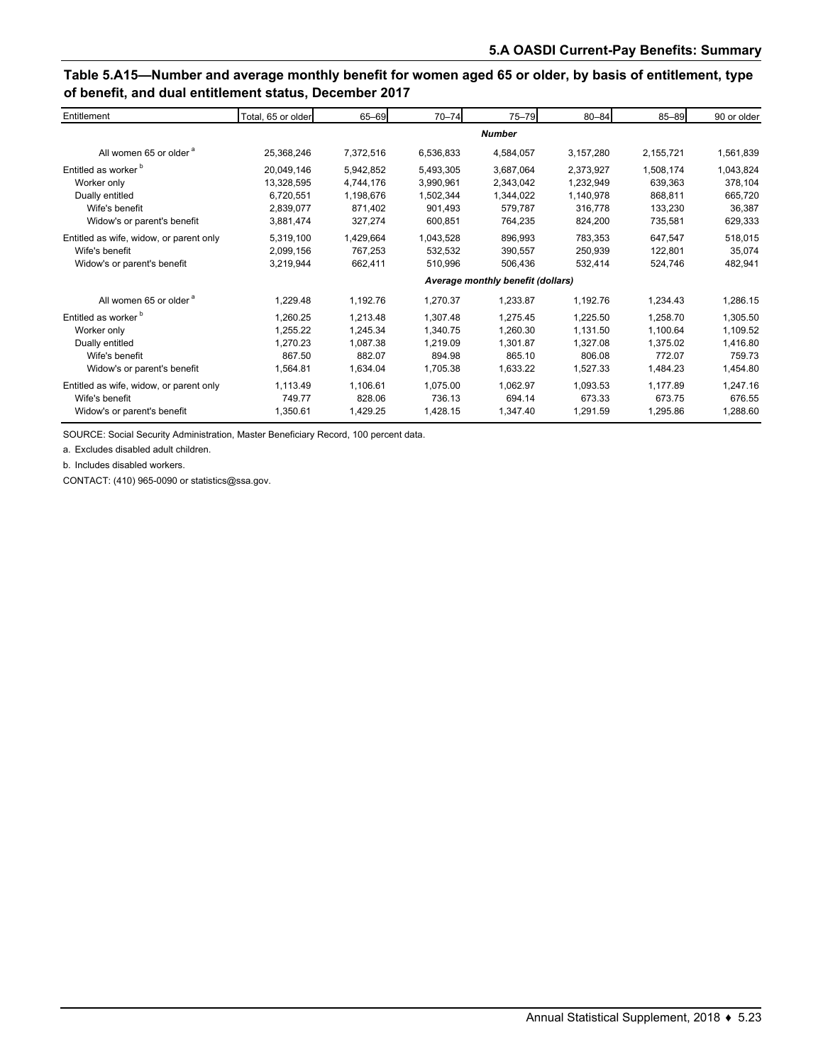## **Table 5.A15—Number and average monthly benefit for women aged 65 or older, by basis of entitlement, type of benefit, and dual entitlement status, December 2017**

| Entitlement                             | Total, 65 or older                | 65-69     | $70 - 74$ | 75-79     | $80 - 84$ | 85-89     | 90 or older |  |  |
|-----------------------------------------|-----------------------------------|-----------|-----------|-----------|-----------|-----------|-------------|--|--|
|                                         | <b>Number</b>                     |           |           |           |           |           |             |  |  |
| All women 65 or older <sup>a</sup>      | 25,368,246                        | 7,372,516 | 6,536,833 | 4,584,057 | 3,157,280 | 2,155,721 | 1,561,839   |  |  |
| Entitled as worker <sup>b</sup>         | 20,049,146                        | 5,942,852 | 5,493,305 | 3,687,064 | 2,373,927 | 1,508,174 | 1,043,824   |  |  |
| Worker only                             | 13,328,595                        | 4,744,176 | 3,990,961 | 2,343,042 | 1,232,949 | 639,363   | 378,104     |  |  |
| Dually entitled                         | 6,720,551                         | 1,198,676 | 1,502,344 | 1,344,022 | 1,140,978 | 868,811   | 665,720     |  |  |
| Wife's benefit                          | 2,839,077                         | 871,402   | 901,493   | 579,787   | 316,778   | 133,230   | 36,387      |  |  |
| Widow's or parent's benefit             | 3,881,474                         | 327,274   | 600,851   | 764,235   | 824,200   | 735,581   | 629,333     |  |  |
| Entitled as wife, widow, or parent only | 5,319,100                         | 1,429,664 | 1,043,528 | 896,993   | 783,353   | 647,547   | 518,015     |  |  |
| Wife's benefit                          | 2,099,156                         | 767.253   | 532,532   | 390,557   | 250,939   | 122,801   | 35,074      |  |  |
| Widow's or parent's benefit             | 3,219,944                         | 662,411   | 510,996   | 506,436   | 532,414   | 524.746   | 482,941     |  |  |
|                                         | Average monthly benefit (dollars) |           |           |           |           |           |             |  |  |
| All women 65 or older <sup>a</sup>      | 1,229.48                          | 1,192.76  | 1,270.37  | 1,233.87  | 1,192.76  | 1,234.43  | 1,286.15    |  |  |
| Entitled as worker <sup>b</sup>         | 1,260.25                          | 1,213.48  | 1,307.48  | 1,275.45  | 1,225.50  | 1,258.70  | 1,305.50    |  |  |
| Worker only                             | 1,255.22                          | 1.245.34  | 1.340.75  | 1,260.30  | 1,131.50  | 1,100.64  | 1,109.52    |  |  |
| Dually entitled                         | 1,270.23                          | 1,087.38  | 1,219.09  | 1,301.87  | 1,327.08  | 1,375.02  | 1,416.80    |  |  |
| Wife's benefit                          | 867.50                            | 882.07    | 894.98    | 865.10    | 806.08    | 772.07    | 759.73      |  |  |
| Widow's or parent's benefit             | 1,564.81                          | 1,634.04  | 1,705.38  | 1,633.22  | 1,527.33  | 1,484.23  | 1,454.80    |  |  |
| Entitled as wife, widow, or parent only | 1,113.49                          | 1,106.61  | 1,075.00  | 1,062.97  | 1,093.53  | 1,177.89  | 1,247.16    |  |  |
| Wife's benefit                          | 749.77                            | 828.06    | 736.13    | 694.14    | 673.33    | 673.75    | 676.55      |  |  |
| Widow's or parent's benefit             | 1,350.61                          | 1,429.25  | 1,428.15  | 1,347.40  | 1,291.59  | 1,295.86  | 1,288.60    |  |  |

SOURCE: Social Security Administration, Master Beneficiary Record, 100 percent data.

a. Excludes disabled adult children.

b. Includes disabled workers.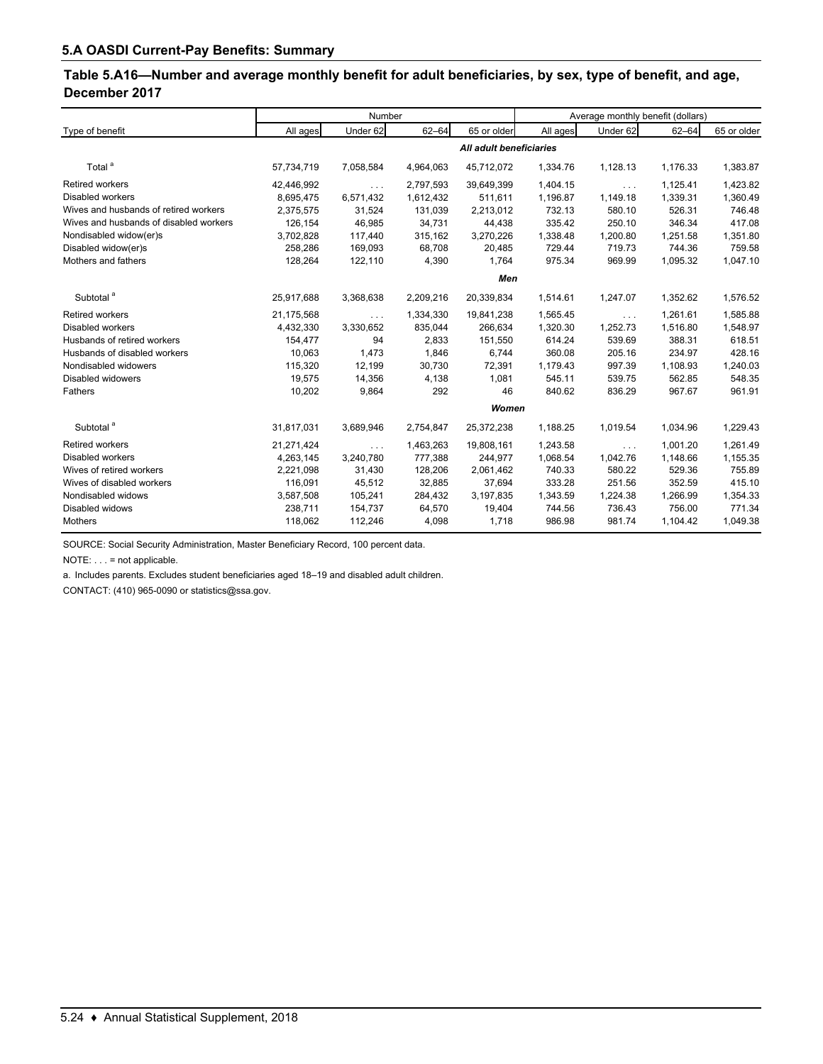## **Table 5.A16—Number and average monthly benefit for adult beneficiaries, by sex, type of benefit, and age, December 2017**

|                                        | Number                  |                      |           |             | Average monthly benefit (dollars) |                      |           |             |  |  |
|----------------------------------------|-------------------------|----------------------|-----------|-------------|-----------------------------------|----------------------|-----------|-------------|--|--|
| Type of benefit                        | All ages                | Under 62             | $62 - 64$ | 65 or older | All ages                          | Under 62             | $62 - 64$ | 65 or older |  |  |
|                                        | All adult beneficiaries |                      |           |             |                                   |                      |           |             |  |  |
| Total <sup>a</sup>                     | 57,734,719              | 7,058,584            | 4,964,063 | 45,712,072  | 1,334.76                          | 1,128.13             | 1,176.33  | 1,383.87    |  |  |
| <b>Retired workers</b>                 | 42,446,992              | $\sim 10$ .          | 2,797,593 | 39,649,399  | 1,404.15                          | $\sim$               | 1,125.41  | 1,423.82    |  |  |
| Disabled workers                       | 8,695,475               | 6,571,432            | 1,612,432 | 511.611     | 1,196.87                          | 1,149.18             | 1,339.31  | 1,360.49    |  |  |
| Wives and husbands of retired workers  | 2,375,575               | 31,524               | 131,039   | 2,213,012   | 732.13                            | 580.10               | 526.31    | 746.48      |  |  |
| Wives and husbands of disabled workers | 126,154                 | 46,985               | 34,731    | 44,438      | 335.42                            | 250.10               | 346.34    | 417.08      |  |  |
| Nondisabled widow(er)s                 | 3,702,828               | 117,440              | 315,162   | 3,270,226   | 1,338.48                          | 1,200.80             | 1,251.58  | 1,351.80    |  |  |
| Disabled widow(er)s                    | 258,286                 | 169,093              | 68,708    | 20,485      | 729.44                            | 719.73               | 744.36    | 759.58      |  |  |
| Mothers and fathers                    | 128,264                 | 122,110              | 4,390     | 1,764       | 975.34                            | 969.99               | 1,095.32  | 1,047.10    |  |  |
|                                        | Men                     |                      |           |             |                                   |                      |           |             |  |  |
| Subtotal <sup>a</sup>                  | 25,917,688              | 3,368,638            | 2,209,216 | 20,339,834  | 1,514.61                          | 1,247.07             | 1,352.62  | 1,576.52    |  |  |
| <b>Retired workers</b>                 | 21,175,568              | $\ldots$             | 1,334,330 | 19,841,238  | 1,565.45                          | $\sim$ $\sim$ $\sim$ | 1,261.61  | 1,585.88    |  |  |
| Disabled workers                       | 4,432,330               | 3,330,652            | 835,044   | 266,634     | 1,320.30                          | 1,252.73             | 1,516.80  | 1,548.97    |  |  |
| Husbands of retired workers            | 154,477                 | 94                   | 2,833     | 151,550     | 614.24                            | 539.69               | 388.31    | 618.51      |  |  |
| Husbands of disabled workers           | 10,063                  | 1,473                | 1,846     | 6,744       | 360.08                            | 205.16               | 234.97    | 428.16      |  |  |
| Nondisabled widowers                   | 115,320                 | 12,199               | 30,730    | 72,391      | 1,179.43                          | 997.39               | 1,108.93  | 1,240.03    |  |  |
| Disabled widowers                      | 19,575                  | 14,356               | 4,138     | 1,081       | 545.11                            | 539.75               | 562.85    | 548.35      |  |  |
| Fathers                                | 10,202                  | 9,864                | 292       | 46          | 840.62                            | 836.29               | 967.67    | 961.91      |  |  |
|                                        | Women                   |                      |           |             |                                   |                      |           |             |  |  |
| Subtotal <sup>a</sup>                  | 31,817,031              | 3,689,946            | 2,754,847 | 25,372,238  | 1,188.25                          | 1,019.54             | 1,034.96  | 1,229.43    |  |  |
| <b>Retired workers</b>                 | 21,271,424              | $\sim$ $\sim$ $\sim$ | 1,463,263 | 19,808,161  | 1,243.58                          | $\sim$ $\sim$ $\sim$ | 1,001.20  | 1,261.49    |  |  |
| <b>Disabled workers</b>                | 4,263,145               | 3,240,780            | 777,388   | 244,977     | 1,068.54                          | 1,042.76             | 1,148.66  | 1,155.35    |  |  |
| Wives of retired workers               | 2,221,098               | 31,430               | 128,206   | 2,061,462   | 740.33                            | 580.22               | 529.36    | 755.89      |  |  |
| Wives of disabled workers              | 116,091                 | 45,512               | 32,885    | 37,694      | 333.28                            | 251.56               | 352.59    | 415.10      |  |  |
| Nondisabled widows                     | 3,587,508               | 105,241              | 284,432   | 3,197,835   | 1,343.59                          | 1,224.38             | 1,266.99  | 1,354.33    |  |  |
| Disabled widows                        | 238,711                 | 154,737              | 64,570    | 19,404      | 744.56                            | 736.43               | 756.00    | 771.34      |  |  |
| Mothers                                | 118,062                 | 112,246              | 4,098     | 1,718       | 986.98                            | 981.74               | 1,104.42  | 1,049.38    |  |  |

SOURCE: Social Security Administration, Master Beneficiary Record, 100 percent data.

NOTE: . . . = not applicable.

a. Includes parents. Excludes student beneficiaries aged 18–19 and disabled adult children.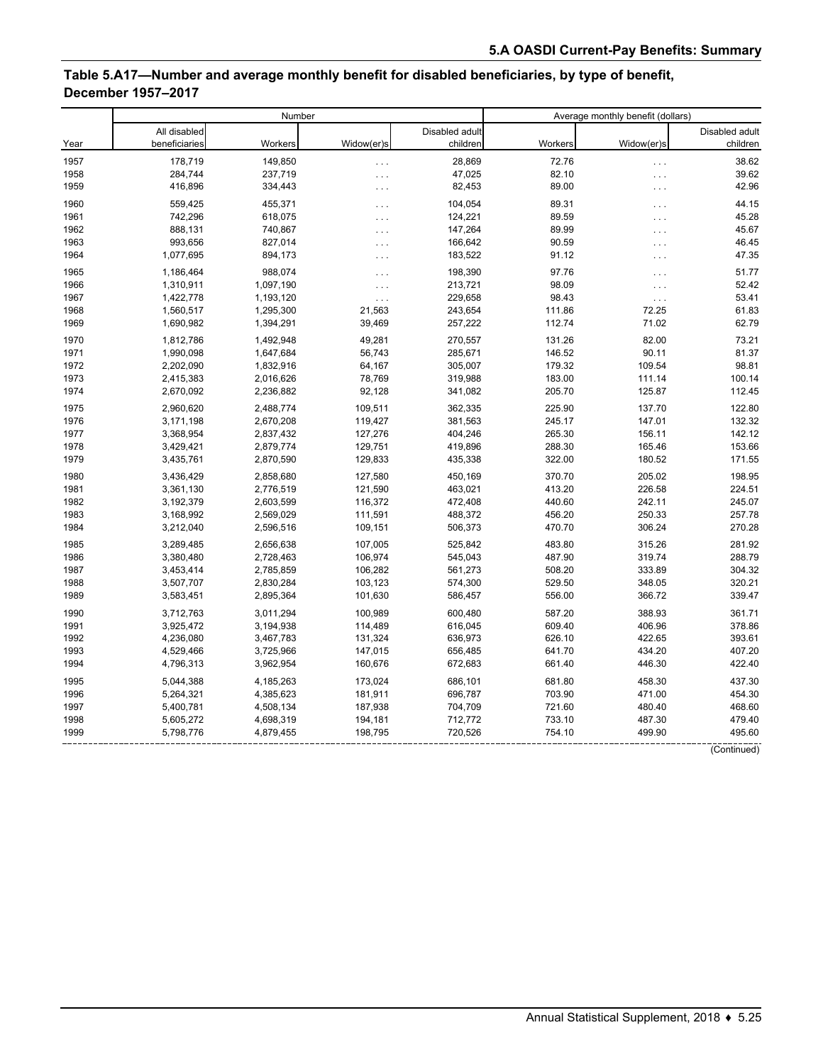## **Table 5.A17—Number and average monthly benefit for disabled beneficiaries, by type of benefit, December 1957–2017**

|      | Number        |           |                      | Average monthly benefit (dollars) |         |                   |                |
|------|---------------|-----------|----------------------|-----------------------------------|---------|-------------------|----------------|
|      | All disabled  |           |                      | Disabled adult                    |         |                   | Disabled adult |
| Year | beneficiaries | Workers   | Widow(er)s           | children                          | Workers | Widow(er)s        | children       |
| 1957 | 178,719       | 149,850   | $\cdots$             | 28,869                            | 72.76   | $\cdots$          | 38.62          |
| 1958 | 284,744       | 237,719   | $\cdots$             | 47,025                            | 82.10   | $\cdots$          | 39.62          |
| 1959 | 416,896       | 334,443   | $\cdots$             | 82,453                            | 89.00   | $\cdots$          | 42.96          |
| 1960 | 559,425       | 455,371   | $\cdots$             | 104,054                           | 89.31   | $\cdots$          | 44.15          |
| 1961 | 742,296       | 618,075   | $\cdots$             | 124,221                           | 89.59   | .                 | 45.28          |
| 1962 | 888,131       | 740,867   | $\cdots$             | 147,264                           | 89.99   | $\cdots$          | 45.67          |
| 1963 | 993,656       | 827,014   | $\ldots$             | 166,642                           | 90.59   | $\cdots$          | 46.45          |
| 1964 | 1,077,695     | 894,173   | $\cdots$             | 183,522                           | 91.12   | $\cdots$          | 47.35          |
| 1965 | 1,186,464     | 988.074   |                      | 198,390                           | 97.76   |                   | 51.77          |
| 1966 | 1,310,911     | 1,097,190 | $\cdots$             | 213,721                           | 98.09   | .                 | 52.42          |
| 1967 | 1,422,778     | 1,193,120 | $\cdots$             | 229,658                           | 98.43   | $\cdots$          | 53.41          |
| 1968 |               |           | $\sim$ $\sim$ $\sim$ |                                   | 111.86  | $\ldots$<br>72.25 | 61.83          |
|      | 1,560,517     | 1,295,300 | 21,563               | 243,654                           | 112.74  | 71.02             | 62.79          |
| 1969 | 1,690,982     | 1,394,291 | 39,469               | 257,222                           |         |                   |                |
| 1970 | 1,812,786     | 1,492,948 | 49,281               | 270,557                           | 131.26  | 82.00             | 73.21          |
| 1971 | 1,990,098     | 1,647,684 | 56,743               | 285,671                           | 146.52  | 90.11             | 81.37          |
| 1972 | 2,202,090     | 1,832,916 | 64,167               | 305,007                           | 179.32  | 109.54            | 98.81          |
| 1973 | 2,415,383     | 2,016,626 | 78,769               | 319,988                           | 183.00  | 111.14            | 100.14         |
| 1974 | 2,670,092     | 2,236,882 | 92,128               | 341,082                           | 205.70  | 125.87            | 112.45         |
| 1975 | 2,960,620     | 2,488,774 | 109,511              | 362,335                           | 225.90  | 137.70            | 122.80         |
| 1976 | 3,171,198     | 2,670,208 | 119,427              | 381,563                           | 245.17  | 147.01            | 132.32         |
| 1977 | 3,368,954     | 2,837,432 | 127,276              | 404,246                           | 265.30  | 156.11            | 142.12         |
| 1978 | 3,429,421     | 2,879,774 | 129,751              | 419,896                           | 288.30  | 165.46            | 153.66         |
| 1979 | 3,435,761     | 2,870,590 | 129,833              | 435,338                           | 322.00  | 180.52            | 171.55         |
| 1980 | 3,436,429     | 2,858,680 | 127,580              | 450,169                           | 370.70  | 205.02            | 198.95         |
| 1981 | 3,361,130     | 2,776,519 | 121,590              | 463,021                           | 413.20  | 226.58            | 224.51         |
| 1982 | 3,192,379     | 2,603,599 | 116,372              | 472,408                           | 440.60  | 242.11            | 245.07         |
| 1983 | 3,168,992     | 2,569,029 | 111,591              | 488,372                           | 456.20  | 250.33            | 257.78         |
| 1984 | 3,212,040     | 2,596,516 | 109,151              | 506,373                           | 470.70  | 306.24            | 270.28         |
| 1985 | 3,289,485     | 2,656,638 | 107,005              | 525,842                           | 483.80  | 315.26            | 281.92         |
| 1986 | 3,380,480     | 2,728,463 | 106,974              | 545,043                           | 487.90  | 319.74            | 288.79         |
| 1987 | 3,453,414     | 2,785,859 | 106,282              | 561,273                           | 508.20  | 333.89            | 304.32         |
| 1988 | 3,507,707     | 2,830,284 | 103,123              | 574,300                           | 529.50  | 348.05            | 320.21         |
| 1989 | 3,583,451     | 2,895,364 | 101,630              | 586,457                           | 556.00  | 366.72            | 339.47         |
| 1990 | 3,712,763     | 3,011,294 | 100,989              | 600,480                           | 587.20  | 388.93            | 361.71         |
| 1991 | 3,925,472     | 3,194,938 | 114,489              | 616,045                           | 609.40  | 406.96            | 378.86         |
| 1992 | 4,236,080     | 3,467,783 | 131,324              | 636,973                           | 626.10  | 422.65            | 393.61         |
| 1993 | 4,529,466     | 3,725,966 | 147,015              | 656,485                           | 641.70  | 434.20            | 407.20         |
| 1994 | 4,796,313     | 3,962,954 | 160,676              | 672,683                           | 661.40  | 446.30            | 422.40         |
|      |               |           |                      |                                   |         |                   |                |
| 1995 | 5,044,388     | 4,185,263 | 173,024              | 686,101                           | 681.80  | 458.30            | 437.30         |
| 1996 | 5,264,321     | 4,385,623 | 181,911              | 696,787                           | 703.90  | 471.00            | 454.30         |
| 1997 | 5,400,781     | 4,508,134 | 187,938              | 704,709                           | 721.60  | 480.40            | 468.60         |
| 1998 | 5,605,272     | 4,698,319 | 194,181              | 712,772                           | 733.10  | 487.30            | 479.40         |
| 1999 | 5,798,776     | 4,879,455 | 198,795              | 720,526                           | 754.10  | 499.90            | 495.60         |

(Continued)